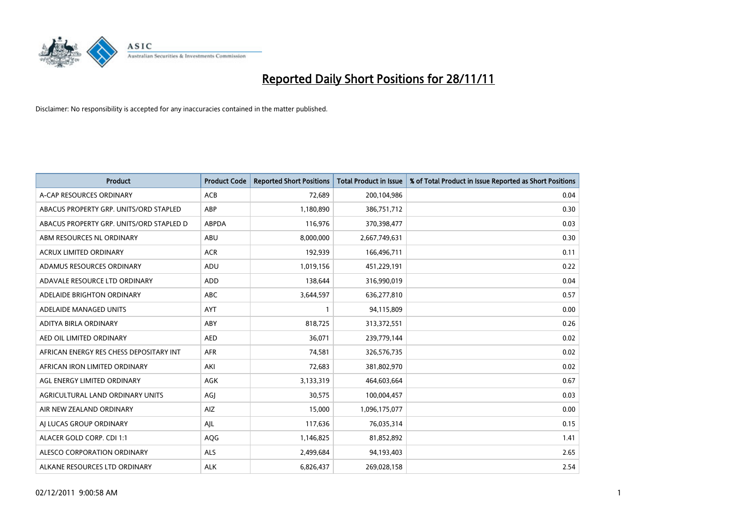

| Product                                  | <b>Product Code</b> | <b>Reported Short Positions</b> | <b>Total Product in Issue</b> | % of Total Product in Issue Reported as Short Positions |
|------------------------------------------|---------------------|---------------------------------|-------------------------------|---------------------------------------------------------|
| A-CAP RESOURCES ORDINARY                 | <b>ACB</b>          | 72,689                          | 200,104,986                   | 0.04                                                    |
| ABACUS PROPERTY GRP. UNITS/ORD STAPLED   | ABP                 | 1,180,890                       | 386,751,712                   | 0.30                                                    |
| ABACUS PROPERTY GRP. UNITS/ORD STAPLED D | ABPDA               | 116,976                         | 370,398,477                   | 0.03                                                    |
| ABM RESOURCES NL ORDINARY                | ABU                 | 8,000,000                       | 2,667,749,631                 | 0.30                                                    |
| <b>ACRUX LIMITED ORDINARY</b>            | <b>ACR</b>          | 192,939                         | 166,496,711                   | 0.11                                                    |
| ADAMUS RESOURCES ORDINARY                | ADU                 | 1,019,156                       | 451,229,191                   | 0.22                                                    |
| ADAVALE RESOURCE LTD ORDINARY            | <b>ADD</b>          | 138,644                         | 316,990,019                   | 0.04                                                    |
| ADELAIDE BRIGHTON ORDINARY               | <b>ABC</b>          | 3,644,597                       | 636,277,810                   | 0.57                                                    |
| ADELAIDE MANAGED UNITS                   | AYT                 | 1                               | 94,115,809                    | 0.00                                                    |
| ADITYA BIRLA ORDINARY                    | ABY                 | 818,725                         | 313,372,551                   | 0.26                                                    |
| AED OIL LIMITED ORDINARY                 | <b>AED</b>          | 36,071                          | 239,779,144                   | 0.02                                                    |
| AFRICAN ENERGY RES CHESS DEPOSITARY INT  | <b>AFR</b>          | 74,581                          | 326,576,735                   | 0.02                                                    |
| AFRICAN IRON LIMITED ORDINARY            | AKI                 | 72,683                          | 381,802,970                   | 0.02                                                    |
| AGL ENERGY LIMITED ORDINARY              | AGK                 | 3,133,319                       | 464,603,664                   | 0.67                                                    |
| AGRICULTURAL LAND ORDINARY UNITS         | AGJ                 | 30,575                          | 100,004,457                   | 0.03                                                    |
| AIR NEW ZEALAND ORDINARY                 | AIZ                 | 15,000                          | 1,096,175,077                 | 0.00                                                    |
| AI LUCAS GROUP ORDINARY                  | AJL                 | 117,636                         | 76,035,314                    | 0.15                                                    |
| ALACER GOLD CORP. CDI 1:1                | <b>AQG</b>          | 1,146,825                       | 81,852,892                    | 1.41                                                    |
| ALESCO CORPORATION ORDINARY              | ALS                 | 2,499,684                       | 94,193,403                    | 2.65                                                    |
| ALKANE RESOURCES LTD ORDINARY            | <b>ALK</b>          | 6,826,437                       | 269,028,158                   | 2.54                                                    |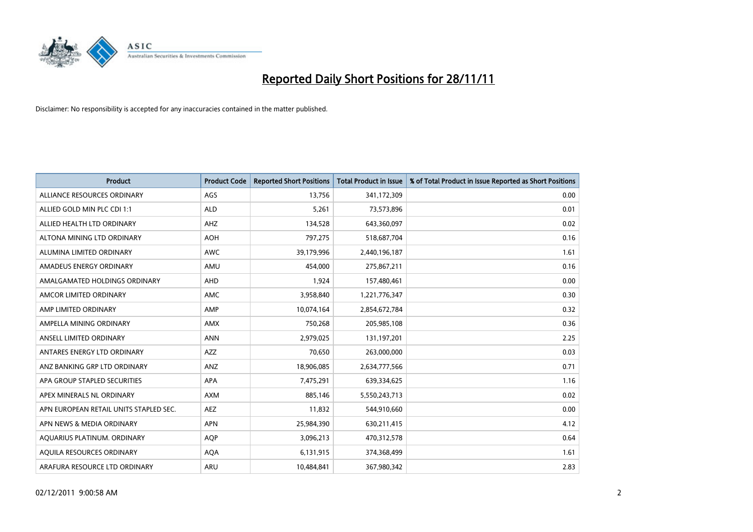

| Product                                | <b>Product Code</b> | <b>Reported Short Positions</b> | Total Product in Issue | % of Total Product in Issue Reported as Short Positions |
|----------------------------------------|---------------------|---------------------------------|------------------------|---------------------------------------------------------|
| ALLIANCE RESOURCES ORDINARY            | AGS                 | 13,756                          | 341,172,309            | 0.00                                                    |
| ALLIED GOLD MIN PLC CDI 1:1            | <b>ALD</b>          | 5,261                           | 73,573,896             | 0.01                                                    |
| ALLIED HEALTH LTD ORDINARY             | AHZ                 | 134,528                         | 643,360,097            | 0.02                                                    |
| ALTONA MINING LTD ORDINARY             | <b>AOH</b>          | 797,275                         | 518,687,704            | 0.16                                                    |
| ALUMINA LIMITED ORDINARY               | <b>AWC</b>          | 39,179,996                      | 2,440,196,187          | 1.61                                                    |
| AMADEUS ENERGY ORDINARY                | AMU                 | 454,000                         | 275,867,211            | 0.16                                                    |
| AMALGAMATED HOLDINGS ORDINARY          | AHD                 | 1,924                           | 157,480,461            | 0.00                                                    |
| AMCOR LIMITED ORDINARY                 | AMC                 | 3,958,840                       | 1,221,776,347          | 0.30                                                    |
| AMP LIMITED ORDINARY                   | AMP                 | 10,074,164                      | 2,854,672,784          | 0.32                                                    |
| AMPELLA MINING ORDINARY                | <b>AMX</b>          | 750,268                         | 205,985,108            | 0.36                                                    |
| ANSELL LIMITED ORDINARY                | <b>ANN</b>          | 2,979,025                       | 131,197,201            | 2.25                                                    |
| ANTARES ENERGY LTD ORDINARY            | AZZ                 | 70,650                          | 263,000,000            | 0.03                                                    |
| ANZ BANKING GRP LTD ORDINARY           | ANZ                 | 18,906,085                      | 2,634,777,566          | 0.71                                                    |
| APA GROUP STAPLED SECURITIES           | APA                 | 7,475,291                       | 639,334,625            | 1.16                                                    |
| APEX MINERALS NL ORDINARY              | <b>AXM</b>          | 885,146                         | 5,550,243,713          | 0.02                                                    |
| APN EUROPEAN RETAIL UNITS STAPLED SEC. | <b>AEZ</b>          | 11,832                          | 544,910,660            | 0.00                                                    |
| APN NEWS & MEDIA ORDINARY              | <b>APN</b>          | 25,984,390                      | 630,211,415            | 4.12                                                    |
| AQUARIUS PLATINUM. ORDINARY            | <b>AQP</b>          | 3,096,213                       | 470,312,578            | 0.64                                                    |
| AOUILA RESOURCES ORDINARY              | <b>AQA</b>          | 6,131,915                       | 374,368,499            | 1.61                                                    |
| ARAFURA RESOURCE LTD ORDINARY          | ARU                 | 10,484,841                      | 367,980,342            | 2.83                                                    |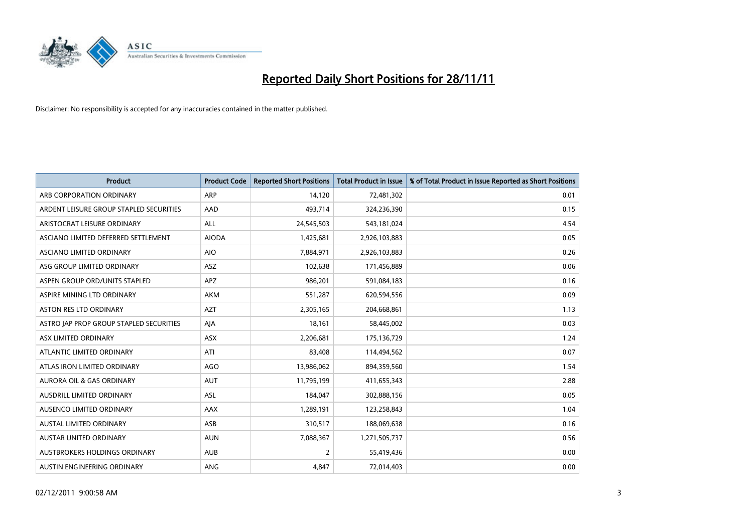

| <b>Product</b>                          | <b>Product Code</b> | <b>Reported Short Positions</b> | Total Product in Issue | % of Total Product in Issue Reported as Short Positions |
|-----------------------------------------|---------------------|---------------------------------|------------------------|---------------------------------------------------------|
| ARB CORPORATION ORDINARY                | <b>ARP</b>          | 14,120                          | 72,481,302             | 0.01                                                    |
| ARDENT LEISURE GROUP STAPLED SECURITIES | AAD                 | 493,714                         | 324,236,390            | 0.15                                                    |
| ARISTOCRAT LEISURE ORDINARY             | ALL                 | 24,545,503                      | 543,181,024            | 4.54                                                    |
| ASCIANO LIMITED DEFERRED SETTLEMENT     | <b>AIODA</b>        | 1,425,681                       | 2,926,103,883          | 0.05                                                    |
| <b>ASCIANO LIMITED ORDINARY</b>         | <b>AIO</b>          | 7,884,971                       | 2,926,103,883          | 0.26                                                    |
| ASG GROUP LIMITED ORDINARY              | <b>ASZ</b>          | 102,638                         | 171,456,889            | 0.06                                                    |
| ASPEN GROUP ORD/UNITS STAPLED           | <b>APZ</b>          | 986,201                         | 591,084,183            | 0.16                                                    |
| ASPIRE MINING LTD ORDINARY              | <b>AKM</b>          | 551,287                         | 620,594,556            | 0.09                                                    |
| ASTON RES LTD ORDINARY                  | <b>AZT</b>          | 2,305,165                       | 204,668,861            | 1.13                                                    |
| ASTRO JAP PROP GROUP STAPLED SECURITIES | AJA                 | 18,161                          | 58,445,002             | 0.03                                                    |
| ASX LIMITED ORDINARY                    | ASX                 | 2,206,681                       | 175,136,729            | 1.24                                                    |
| ATLANTIC LIMITED ORDINARY               | ATI                 | 83,408                          | 114,494,562            | 0.07                                                    |
| ATLAS IRON LIMITED ORDINARY             | <b>AGO</b>          | 13,986,062                      | 894,359,560            | 1.54                                                    |
| <b>AURORA OIL &amp; GAS ORDINARY</b>    | <b>AUT</b>          | 11,795,199                      | 411,655,343            | 2.88                                                    |
| AUSDRILL LIMITED ORDINARY               | ASL                 | 184,047                         | 302,888,156            | 0.05                                                    |
| AUSENCO LIMITED ORDINARY                | AAX                 | 1,289,191                       | 123,258,843            | 1.04                                                    |
| <b>AUSTAL LIMITED ORDINARY</b>          | ASB                 | 310,517                         | 188,069,638            | 0.16                                                    |
| AUSTAR UNITED ORDINARY                  | <b>AUN</b>          | 7,088,367                       | 1,271,505,737          | 0.56                                                    |
| AUSTBROKERS HOLDINGS ORDINARY           | <b>AUB</b>          | $\overline{2}$                  | 55,419,436             | 0.00                                                    |
| AUSTIN ENGINEERING ORDINARY             | <b>ANG</b>          | 4,847                           | 72,014,403             | 0.00                                                    |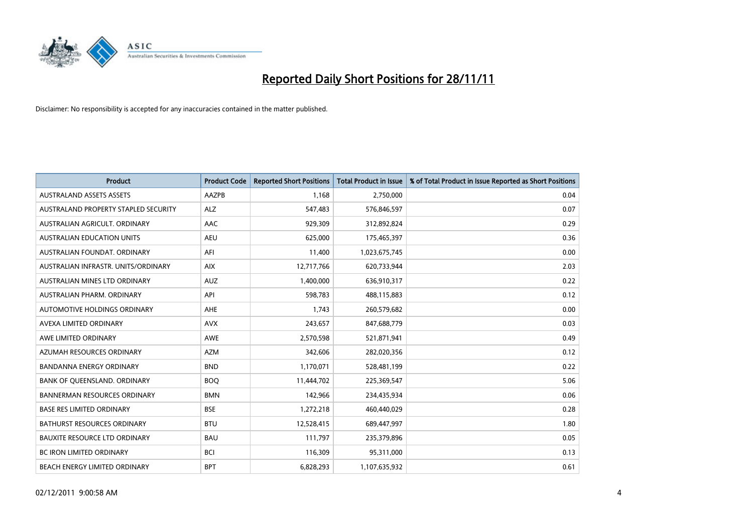

| <b>Product</b>                       | <b>Product Code</b> | <b>Reported Short Positions</b> | <b>Total Product in Issue</b> | % of Total Product in Issue Reported as Short Positions |
|--------------------------------------|---------------------|---------------------------------|-------------------------------|---------------------------------------------------------|
| <b>AUSTRALAND ASSETS ASSETS</b>      | AAZPB               | 1,168                           | 2,750,000                     | 0.04                                                    |
| AUSTRALAND PROPERTY STAPLED SECURITY | <b>ALZ</b>          | 547,483                         | 576,846,597                   | 0.07                                                    |
| AUSTRALIAN AGRICULT, ORDINARY        | AAC                 | 929,309                         | 312,892,824                   | 0.29                                                    |
| <b>AUSTRALIAN EDUCATION UNITS</b>    | <b>AEU</b>          | 625,000                         | 175,465,397                   | 0.36                                                    |
| AUSTRALIAN FOUNDAT, ORDINARY         | AFI                 | 11,400                          | 1,023,675,745                 | 0.00                                                    |
| AUSTRALIAN INFRASTR, UNITS/ORDINARY  | <b>AIX</b>          | 12,717,766                      | 620,733,944                   | 2.03                                                    |
| AUSTRALIAN MINES LTD ORDINARY        | <b>AUZ</b>          | 1,400,000                       | 636,910,317                   | 0.22                                                    |
| AUSTRALIAN PHARM. ORDINARY           | API                 | 598,783                         | 488,115,883                   | 0.12                                                    |
| AUTOMOTIVE HOLDINGS ORDINARY         | <b>AHE</b>          | 1,743                           | 260,579,682                   | 0.00                                                    |
| AVEXA LIMITED ORDINARY               | <b>AVX</b>          | 243,657                         | 847,688,779                   | 0.03                                                    |
| AWE LIMITED ORDINARY                 | AWE                 | 2,570,598                       | 521,871,941                   | 0.49                                                    |
| AZUMAH RESOURCES ORDINARY            | <b>AZM</b>          | 342,606                         | 282,020,356                   | 0.12                                                    |
| BANDANNA ENERGY ORDINARY             | <b>BND</b>          | 1,170,071                       | 528,481,199                   | 0.22                                                    |
| BANK OF QUEENSLAND. ORDINARY         | <b>BOQ</b>          | 11,444,702                      | 225,369,547                   | 5.06                                                    |
| <b>BANNERMAN RESOURCES ORDINARY</b>  | <b>BMN</b>          | 142,966                         | 234,435,934                   | 0.06                                                    |
| <b>BASE RES LIMITED ORDINARY</b>     | <b>BSE</b>          | 1,272,218                       | 460,440,029                   | 0.28                                                    |
| BATHURST RESOURCES ORDINARY          | <b>BTU</b>          | 12,528,415                      | 689,447,997                   | 1.80                                                    |
| <b>BAUXITE RESOURCE LTD ORDINARY</b> | <b>BAU</b>          | 111,797                         | 235,379,896                   | 0.05                                                    |
| <b>BC IRON LIMITED ORDINARY</b>      | <b>BCI</b>          | 116,309                         | 95,311,000                    | 0.13                                                    |
| BEACH ENERGY LIMITED ORDINARY        | <b>BPT</b>          | 6,828,293                       | 1,107,635,932                 | 0.61                                                    |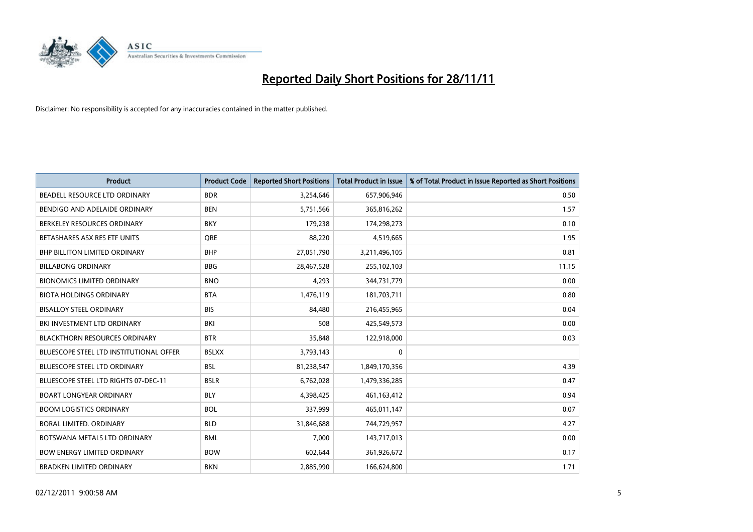

| <b>Product</b>                                 | <b>Product Code</b> | <b>Reported Short Positions</b> | Total Product in Issue | % of Total Product in Issue Reported as Short Positions |
|------------------------------------------------|---------------------|---------------------------------|------------------------|---------------------------------------------------------|
| BEADELL RESOURCE LTD ORDINARY                  | <b>BDR</b>          | 3,254,646                       | 657,906,946            | 0.50                                                    |
| BENDIGO AND ADELAIDE ORDINARY                  | <b>BEN</b>          | 5,751,566                       | 365,816,262            | 1.57                                                    |
| BERKELEY RESOURCES ORDINARY                    | <b>BKY</b>          | 179,238                         | 174,298,273            | 0.10                                                    |
| BETASHARES ASX RES ETF UNITS                   | <b>ORE</b>          | 88,220                          | 4,519,665              | 1.95                                                    |
| BHP BILLITON LIMITED ORDINARY                  | <b>BHP</b>          | 27,051,790                      | 3,211,496,105          | 0.81                                                    |
| <b>BILLABONG ORDINARY</b>                      | <b>BBG</b>          | 28,467,528                      | 255,102,103            | 11.15                                                   |
| <b>BIONOMICS LIMITED ORDINARY</b>              | <b>BNO</b>          | 4,293                           | 344,731,779            | 0.00                                                    |
| <b>BIOTA HOLDINGS ORDINARY</b>                 | <b>BTA</b>          | 1,476,119                       | 181,703,711            | 0.80                                                    |
| <b>BISALLOY STEEL ORDINARY</b>                 | <b>BIS</b>          | 84,480                          | 216,455,965            | 0.04                                                    |
| BKI INVESTMENT LTD ORDINARY                    | <b>BKI</b>          | 508                             | 425,549,573            | 0.00                                                    |
| <b>BLACKTHORN RESOURCES ORDINARY</b>           | <b>BTR</b>          | 35,848                          | 122,918,000            | 0.03                                                    |
| <b>BLUESCOPE STEEL LTD INSTITUTIONAL OFFER</b> | <b>BSLXX</b>        | 3,793,143                       | $\mathbf{0}$           |                                                         |
| <b>BLUESCOPE STEEL LTD ORDINARY</b>            | <b>BSL</b>          | 81,238,547                      | 1,849,170,356          | 4.39                                                    |
| BLUESCOPE STEEL LTD RIGHTS 07-DEC-11           | <b>BSLR</b>         | 6,762,028                       | 1,479,336,285          | 0.47                                                    |
| <b>BOART LONGYEAR ORDINARY</b>                 | <b>BLY</b>          | 4,398,425                       | 461,163,412            | 0.94                                                    |
| <b>BOOM LOGISTICS ORDINARY</b>                 | <b>BOL</b>          | 337,999                         | 465,011,147            | 0.07                                                    |
| BORAL LIMITED, ORDINARY                        | <b>BLD</b>          | 31,846,688                      | 744,729,957            | 4.27                                                    |
| BOTSWANA METALS LTD ORDINARY                   | <b>BML</b>          | 7,000                           | 143,717,013            | 0.00                                                    |
| <b>BOW ENERGY LIMITED ORDINARY</b>             | <b>BOW</b>          | 602,644                         | 361,926,672            | 0.17                                                    |
| <b>BRADKEN LIMITED ORDINARY</b>                | <b>BKN</b>          | 2,885,990                       | 166,624,800            | 1.71                                                    |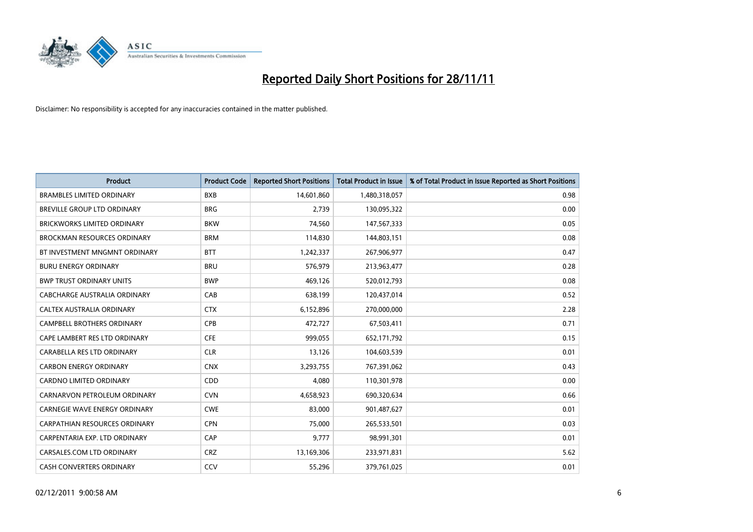

| Product                              | <b>Product Code</b> | <b>Reported Short Positions</b> | <b>Total Product in Issue</b> | % of Total Product in Issue Reported as Short Positions |
|--------------------------------------|---------------------|---------------------------------|-------------------------------|---------------------------------------------------------|
| <b>BRAMBLES LIMITED ORDINARY</b>     | <b>BXB</b>          | 14,601,860                      | 1,480,318,057                 | 0.98                                                    |
| BREVILLE GROUP LTD ORDINARY          | <b>BRG</b>          | 2,739                           | 130,095,322                   | 0.00                                                    |
| <b>BRICKWORKS LIMITED ORDINARY</b>   | <b>BKW</b>          | 74,560                          | 147,567,333                   | 0.05                                                    |
| <b>BROCKMAN RESOURCES ORDINARY</b>   | <b>BRM</b>          | 114,830                         | 144,803,151                   | 0.08                                                    |
| BT INVESTMENT MNGMNT ORDINARY        | <b>BTT</b>          | 1,242,337                       | 267,906,977                   | 0.47                                                    |
| <b>BURU ENERGY ORDINARY</b>          | <b>BRU</b>          | 576,979                         | 213,963,477                   | 0.28                                                    |
| <b>BWP TRUST ORDINARY UNITS</b>      | <b>BWP</b>          | 469,126                         | 520,012,793                   | 0.08                                                    |
| CABCHARGE AUSTRALIA ORDINARY         | CAB                 | 638,199                         | 120,437,014                   | 0.52                                                    |
| CALTEX AUSTRALIA ORDINARY            | <b>CTX</b>          | 6,152,896                       | 270,000,000                   | 2.28                                                    |
| CAMPBELL BROTHERS ORDINARY           | <b>CPB</b>          | 472,727                         | 67,503,411                    | 0.71                                                    |
| CAPE LAMBERT RES LTD ORDINARY        | <b>CFE</b>          | 999,055                         | 652,171,792                   | 0.15                                                    |
| CARABELLA RES LTD ORDINARY           | <b>CLR</b>          | 13,126                          | 104,603,539                   | 0.01                                                    |
| <b>CARBON ENERGY ORDINARY</b>        | <b>CNX</b>          | 3,293,755                       | 767,391,062                   | 0.43                                                    |
| <b>CARDNO LIMITED ORDINARY</b>       | CDD                 | 4,080                           | 110,301,978                   | 0.00                                                    |
| CARNARVON PETROLEUM ORDINARY         | <b>CVN</b>          | 4,658,923                       | 690,320,634                   | 0.66                                                    |
| CARNEGIE WAVE ENERGY ORDINARY        | <b>CWE</b>          | 83,000                          | 901,487,627                   | 0.01                                                    |
| <b>CARPATHIAN RESOURCES ORDINARY</b> | <b>CPN</b>          | 75,000                          | 265,533,501                   | 0.03                                                    |
| CARPENTARIA EXP. LTD ORDINARY        | CAP                 | 9,777                           | 98,991,301                    | 0.01                                                    |
| CARSALES.COM LTD ORDINARY            | <b>CRZ</b>          | 13,169,306                      | 233,971,831                   | 5.62                                                    |
| <b>CASH CONVERTERS ORDINARY</b>      | CCV                 | 55,296                          | 379,761,025                   | 0.01                                                    |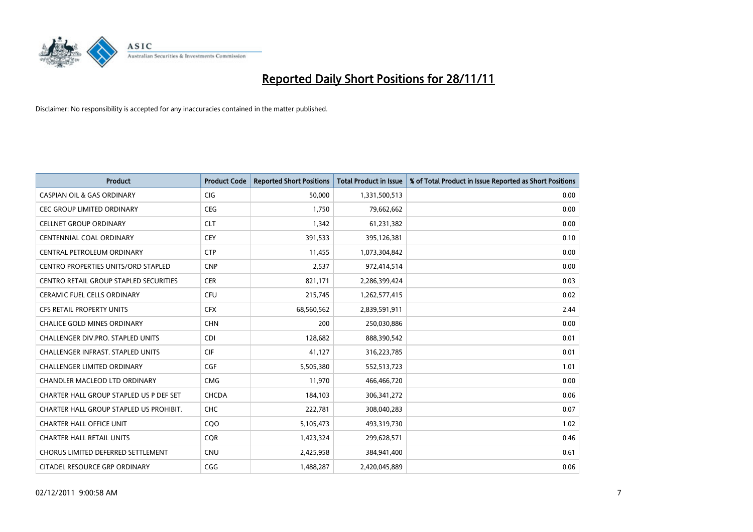

| Product                                    | <b>Product Code</b> | <b>Reported Short Positions</b> | <b>Total Product in Issue</b> | % of Total Product in Issue Reported as Short Positions |
|--------------------------------------------|---------------------|---------------------------------|-------------------------------|---------------------------------------------------------|
| <b>CASPIAN OIL &amp; GAS ORDINARY</b>      | <b>CIG</b>          | 50,000                          | 1,331,500,513                 | 0.00                                                    |
| <b>CEC GROUP LIMITED ORDINARY</b>          | <b>CEG</b>          | 1,750                           | 79,662,662                    | 0.00                                                    |
| <b>CELLNET GROUP ORDINARY</b>              | <b>CLT</b>          | 1,342                           | 61,231,382                    | 0.00                                                    |
| <b>CENTENNIAL COAL ORDINARY</b>            | <b>CEY</b>          | 391,533                         | 395,126,381                   | 0.10                                                    |
| CENTRAL PETROLEUM ORDINARY                 | <b>CTP</b>          | 11,455                          | 1,073,304,842                 | 0.00                                                    |
| <b>CENTRO PROPERTIES UNITS/ORD STAPLED</b> | <b>CNP</b>          | 2,537                           | 972,414,514                   | 0.00                                                    |
| CENTRO RETAIL GROUP STAPLED SECURITIES     | <b>CER</b>          | 821,171                         | 2,286,399,424                 | 0.03                                                    |
| CERAMIC FUEL CELLS ORDINARY                | <b>CFU</b>          | 215,745                         | 1,262,577,415                 | 0.02                                                    |
| <b>CFS RETAIL PROPERTY UNITS</b>           | <b>CFX</b>          | 68,560,562                      | 2,839,591,911                 | 2.44                                                    |
| <b>CHALICE GOLD MINES ORDINARY</b>         | <b>CHN</b>          | 200                             | 250,030,886                   | 0.00                                                    |
| CHALLENGER DIV.PRO. STAPLED UNITS          | <b>CDI</b>          | 128,682                         | 888,390,542                   | 0.01                                                    |
| <b>CHALLENGER INFRAST, STAPLED UNITS</b>   | <b>CIF</b>          | 41,127                          | 316,223,785                   | 0.01                                                    |
| <b>CHALLENGER LIMITED ORDINARY</b>         | <b>CGF</b>          | 5,505,380                       | 552,513,723                   | 1.01                                                    |
| CHANDLER MACLEOD LTD ORDINARY              | <b>CMG</b>          | 11,970                          | 466,466,720                   | 0.00                                                    |
| CHARTER HALL GROUP STAPLED US P DEF SET    | CHCDA               | 184,103                         | 306, 341, 272                 | 0.06                                                    |
| CHARTER HALL GROUP STAPLED US PROHIBIT.    | <b>CHC</b>          | 222,781                         | 308,040,283                   | 0.07                                                    |
| <b>CHARTER HALL OFFICE UNIT</b>            | CQO                 | 5,105,473                       | 493,319,730                   | 1.02                                                    |
| <b>CHARTER HALL RETAIL UNITS</b>           | <b>CQR</b>          | 1,423,324                       | 299,628,571                   | 0.46                                                    |
| CHORUS LIMITED DEFERRED SETTLEMENT         | <b>CNU</b>          | 2,425,958                       | 384,941,400                   | 0.61                                                    |
| CITADEL RESOURCE GRP ORDINARY              | CGG                 | 1,488,287                       | 2,420,045,889                 | 0.06                                                    |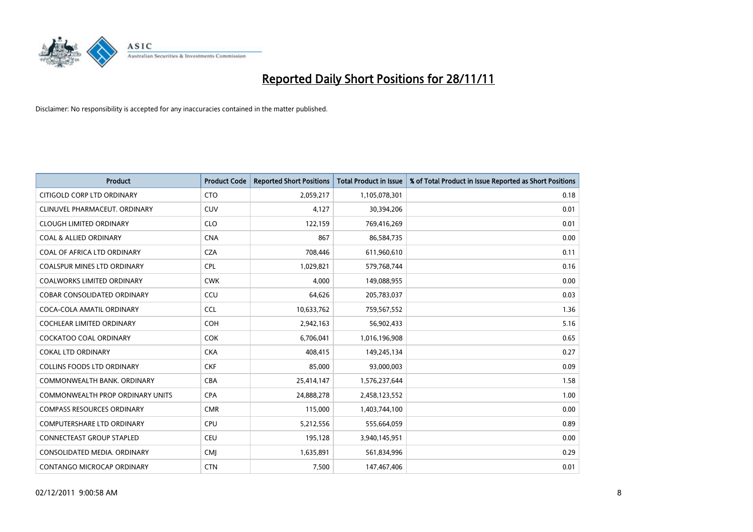

| Product                                 | <b>Product Code</b> | <b>Reported Short Positions</b> | <b>Total Product in Issue</b> | % of Total Product in Issue Reported as Short Positions |
|-----------------------------------------|---------------------|---------------------------------|-------------------------------|---------------------------------------------------------|
| CITIGOLD CORP LTD ORDINARY              | <b>CTO</b>          | 2,059,217                       | 1,105,078,301                 | 0.18                                                    |
| CLINUVEL PHARMACEUT. ORDINARY           | <b>CUV</b>          | 4,127                           | 30,394,206                    | 0.01                                                    |
| <b>CLOUGH LIMITED ORDINARY</b>          | <b>CLO</b>          | 122,159                         | 769,416,269                   | 0.01                                                    |
| <b>COAL &amp; ALLIED ORDINARY</b>       | <b>CNA</b>          | 867                             | 86,584,735                    | 0.00                                                    |
| COAL OF AFRICA LTD ORDINARY             | <b>CZA</b>          | 708,446                         | 611,960,610                   | 0.11                                                    |
| <b>COALSPUR MINES LTD ORDINARY</b>      | CPL                 | 1,029,821                       | 579,768,744                   | 0.16                                                    |
| <b>COALWORKS LIMITED ORDINARY</b>       | <b>CWK</b>          | 4,000                           | 149,088,955                   | 0.00                                                    |
| COBAR CONSOLIDATED ORDINARY             | CCU                 | 64,626                          | 205,783,037                   | 0.03                                                    |
| COCA-COLA AMATIL ORDINARY               | <b>CCL</b>          | 10,633,762                      | 759,567,552                   | 1.36                                                    |
| <b>COCHLEAR LIMITED ORDINARY</b>        | <b>COH</b>          | 2,942,163                       | 56,902,433                    | 5.16                                                    |
| COCKATOO COAL ORDINARY                  | <b>COK</b>          | 6,706,041                       | 1,016,196,908                 | 0.65                                                    |
| <b>COKAL LTD ORDINARY</b>               | <b>CKA</b>          | 408,415                         | 149,245,134                   | 0.27                                                    |
| <b>COLLINS FOODS LTD ORDINARY</b>       | <b>CKF</b>          | 85,000                          | 93,000,003                    | 0.09                                                    |
| COMMONWEALTH BANK, ORDINARY             | <b>CBA</b>          | 25,414,147                      | 1,576,237,644                 | 1.58                                                    |
| <b>COMMONWEALTH PROP ORDINARY UNITS</b> | <b>CPA</b>          | 24,888,278                      | 2,458,123,552                 | 1.00                                                    |
| <b>COMPASS RESOURCES ORDINARY</b>       | <b>CMR</b>          | 115,000                         | 1,403,744,100                 | 0.00                                                    |
| COMPUTERSHARE LTD ORDINARY              | <b>CPU</b>          | 5,212,556                       | 555,664,059                   | 0.89                                                    |
| <b>CONNECTEAST GROUP STAPLED</b>        | <b>CEU</b>          | 195,128                         | 3,940,145,951                 | 0.00                                                    |
| CONSOLIDATED MEDIA, ORDINARY            | <b>CMI</b>          | 1,635,891                       | 561,834,996                   | 0.29                                                    |
| CONTANGO MICROCAP ORDINARY              | <b>CTN</b>          | 7,500                           | 147,467,406                   | 0.01                                                    |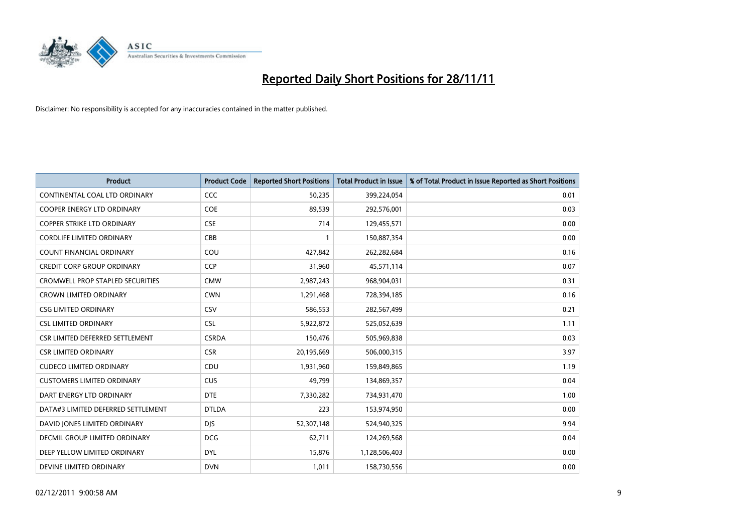

| Product                                 | <b>Product Code</b> | <b>Reported Short Positions</b> | <b>Total Product in Issue</b> | % of Total Product in Issue Reported as Short Positions |
|-----------------------------------------|---------------------|---------------------------------|-------------------------------|---------------------------------------------------------|
| CONTINENTAL COAL LTD ORDINARY           | <b>CCC</b>          | 50,235                          | 399,224,054                   | 0.01                                                    |
| COOPER ENERGY LTD ORDINARY              | <b>COE</b>          | 89,539                          | 292,576,001                   | 0.03                                                    |
| <b>COPPER STRIKE LTD ORDINARY</b>       | <b>CSE</b>          | 714                             | 129,455,571                   | 0.00                                                    |
| <b>CORDLIFE LIMITED ORDINARY</b>        | CBB                 | 1                               | 150,887,354                   | 0.00                                                    |
| <b>COUNT FINANCIAL ORDINARY</b>         | COU                 | 427,842                         | 262,282,684                   | 0.16                                                    |
| <b>CREDIT CORP GROUP ORDINARY</b>       | CCP                 | 31,960                          | 45,571,114                    | 0.07                                                    |
| <b>CROMWELL PROP STAPLED SECURITIES</b> | <b>CMW</b>          | 2,987,243                       | 968,904,031                   | 0.31                                                    |
| <b>CROWN LIMITED ORDINARY</b>           | <b>CWN</b>          | 1,291,468                       | 728,394,185                   | 0.16                                                    |
| <b>CSG LIMITED ORDINARY</b>             | CSV                 | 586,553                         | 282,567,499                   | 0.21                                                    |
| <b>CSL LIMITED ORDINARY</b>             | <b>CSL</b>          | 5,922,872                       | 525,052,639                   | 1.11                                                    |
| CSR LIMITED DEFERRED SETTLEMENT         | <b>CSRDA</b>        | 150,476                         | 505,969,838                   | 0.03                                                    |
| <b>CSR LIMITED ORDINARY</b>             | <b>CSR</b>          | 20,195,669                      | 506,000,315                   | 3.97                                                    |
| <b>CUDECO LIMITED ORDINARY</b>          | CDU                 | 1,931,960                       | 159,849,865                   | 1.19                                                    |
| <b>CUSTOMERS LIMITED ORDINARY</b>       | <b>CUS</b>          | 49,799                          | 134,869,357                   | 0.04                                                    |
| DART ENERGY LTD ORDINARY                | <b>DTE</b>          | 7,330,282                       | 734,931,470                   | 1.00                                                    |
| DATA#3 LIMITED DEFERRED SETTLEMENT      | <b>DTLDA</b>        | 223                             | 153,974,950                   | 0.00                                                    |
| DAVID JONES LIMITED ORDINARY            | <b>DJS</b>          | 52,307,148                      | 524,940,325                   | 9.94                                                    |
| <b>DECMIL GROUP LIMITED ORDINARY</b>    | <b>DCG</b>          | 62,711                          | 124,269,568                   | 0.04                                                    |
| DEEP YELLOW LIMITED ORDINARY            | <b>DYL</b>          | 15,876                          | 1,128,506,403                 | 0.00                                                    |
| DEVINE LIMITED ORDINARY                 | <b>DVN</b>          | 1,011                           | 158,730,556                   | 0.00                                                    |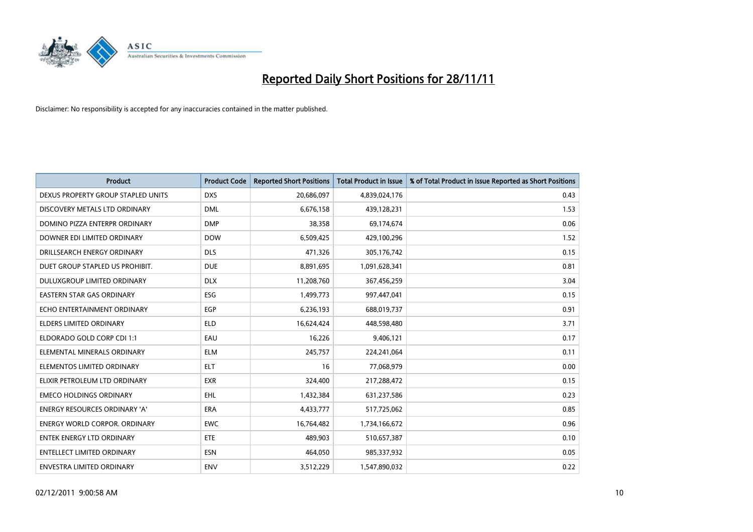

| Product                              | <b>Product Code</b> | <b>Reported Short Positions</b> | <b>Total Product in Issue</b> | % of Total Product in Issue Reported as Short Positions |
|--------------------------------------|---------------------|---------------------------------|-------------------------------|---------------------------------------------------------|
| DEXUS PROPERTY GROUP STAPLED UNITS   | <b>DXS</b>          | 20,686,097                      | 4,839,024,176                 | 0.43                                                    |
| DISCOVERY METALS LTD ORDINARY        | <b>DML</b>          | 6,676,158                       | 439,128,231                   | 1.53                                                    |
| DOMINO PIZZA ENTERPR ORDINARY        | <b>DMP</b>          | 38,358                          | 69,174,674                    | 0.06                                                    |
| DOWNER EDI LIMITED ORDINARY          | <b>DOW</b>          | 6,509,425                       | 429,100,296                   | 1.52                                                    |
| DRILLSEARCH ENERGY ORDINARY          | <b>DLS</b>          | 471,326                         | 305,176,742                   | 0.15                                                    |
| DUET GROUP STAPLED US PROHIBIT.      | <b>DUE</b>          | 8,891,695                       | 1,091,628,341                 | 0.81                                                    |
| <b>DULUXGROUP LIMITED ORDINARY</b>   | <b>DLX</b>          | 11,208,760                      | 367,456,259                   | 3.04                                                    |
| EASTERN STAR GAS ORDINARY            | <b>ESG</b>          | 1,499,773                       | 997,447,041                   | 0.15                                                    |
| ECHO ENTERTAINMENT ORDINARY          | EGP                 | 6,236,193                       | 688,019,737                   | 0.91                                                    |
| <b>ELDERS LIMITED ORDINARY</b>       | <b>ELD</b>          | 16,624,424                      | 448,598,480                   | 3.71                                                    |
| ELDORADO GOLD CORP CDI 1:1           | EAU                 | 16,226                          | 9,406,121                     | 0.17                                                    |
| ELEMENTAL MINERALS ORDINARY          | <b>ELM</b>          | 245,757                         | 224,241,064                   | 0.11                                                    |
| ELEMENTOS LIMITED ORDINARY           | <b>ELT</b>          | 16                              | 77,068,979                    | 0.00                                                    |
| ELIXIR PETROLEUM LTD ORDINARY        | <b>EXR</b>          | 324,400                         | 217,288,472                   | 0.15                                                    |
| <b>EMECO HOLDINGS ORDINARY</b>       | <b>EHL</b>          | 1,432,384                       | 631,237,586                   | 0.23                                                    |
| <b>ENERGY RESOURCES ORDINARY 'A'</b> | <b>ERA</b>          | 4,433,777                       | 517,725,062                   | 0.85                                                    |
| <b>ENERGY WORLD CORPOR, ORDINARY</b> | <b>EWC</b>          | 16,764,482                      | 1,734,166,672                 | 0.96                                                    |
| <b>ENTEK ENERGY LTD ORDINARY</b>     | ETE                 | 489,903                         | 510,657,387                   | 0.10                                                    |
| <b>ENTELLECT LIMITED ORDINARY</b>    | <b>ESN</b>          | 464,050                         | 985,337,932                   | 0.05                                                    |
| ENVESTRA LIMITED ORDINARY            | <b>ENV</b>          | 3,512,229                       | 1,547,890,032                 | 0.22                                                    |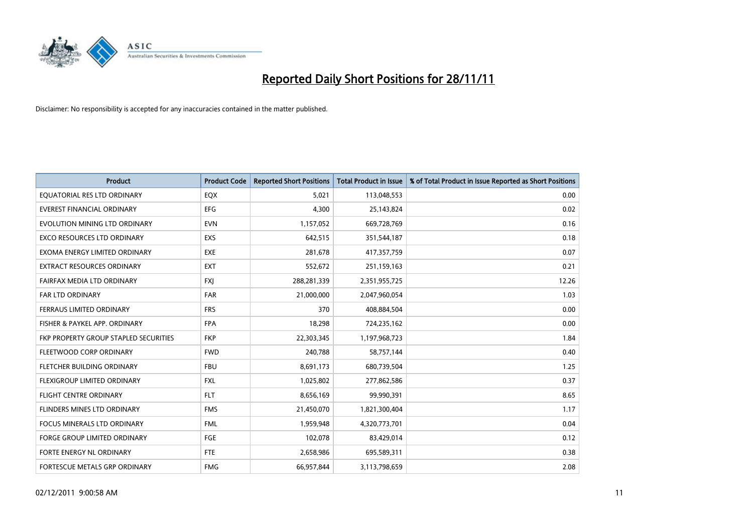

| Product                               | <b>Product Code</b> | <b>Reported Short Positions</b> | <b>Total Product in Issue</b> | % of Total Product in Issue Reported as Short Positions |
|---------------------------------------|---------------------|---------------------------------|-------------------------------|---------------------------------------------------------|
| EQUATORIAL RES LTD ORDINARY           | EQX                 | 5,021                           | 113,048,553                   | 0.00                                                    |
| EVEREST FINANCIAL ORDINARY            | <b>EFG</b>          | 4,300                           | 25,143,824                    | 0.02                                                    |
| EVOLUTION MINING LTD ORDINARY         | <b>EVN</b>          | 1,157,052                       | 669,728,769                   | 0.16                                                    |
| EXCO RESOURCES LTD ORDINARY           | EXS                 | 642,515                         | 351,544,187                   | 0.18                                                    |
| EXOMA ENERGY LIMITED ORDINARY         | EXE                 | 281,678                         | 417,357,759                   | 0.07                                                    |
| <b>EXTRACT RESOURCES ORDINARY</b>     | <b>EXT</b>          | 552,672                         | 251,159,163                   | 0.21                                                    |
| FAIRFAX MEDIA LTD ORDINARY            | <b>FXI</b>          | 288,281,339                     | 2,351,955,725                 | 12.26                                                   |
| <b>FAR LTD ORDINARY</b>               | <b>FAR</b>          | 21,000,000                      | 2,047,960,054                 | 1.03                                                    |
| FERRAUS LIMITED ORDINARY              | <b>FRS</b>          | 370                             | 408,884,504                   | 0.00                                                    |
| FISHER & PAYKEL APP. ORDINARY         | <b>FPA</b>          | 18,298                          | 724,235,162                   | 0.00                                                    |
| FKP PROPERTY GROUP STAPLED SECURITIES | <b>FKP</b>          | 22,303,345                      | 1,197,968,723                 | 1.84                                                    |
| FLEETWOOD CORP ORDINARY               | <b>FWD</b>          | 240,788                         | 58,757,144                    | 0.40                                                    |
| FLETCHER BUILDING ORDINARY            | <b>FBU</b>          | 8,691,173                       | 680,739,504                   | 1.25                                                    |
| FLEXIGROUP LIMITED ORDINARY           | <b>FXL</b>          | 1,025,802                       | 277,862,586                   | 0.37                                                    |
| <b>FLIGHT CENTRE ORDINARY</b>         | <b>FLT</b>          | 8,656,169                       | 99,990,391                    | 8.65                                                    |
| FLINDERS MINES LTD ORDINARY           | <b>FMS</b>          | 21,450,070                      | 1,821,300,404                 | 1.17                                                    |
| FOCUS MINERALS LTD ORDINARY           | <b>FML</b>          | 1,959,948                       | 4,320,773,701                 | 0.04                                                    |
| FORGE GROUP LIMITED ORDINARY          | FGE                 | 102,078                         | 83,429,014                    | 0.12                                                    |
| FORTE ENERGY NL ORDINARY              | FTE                 | 2,658,986                       | 695,589,311                   | 0.38                                                    |
| FORTESCUE METALS GRP ORDINARY         | <b>FMG</b>          | 66,957,844                      | 3,113,798,659                 | 2.08                                                    |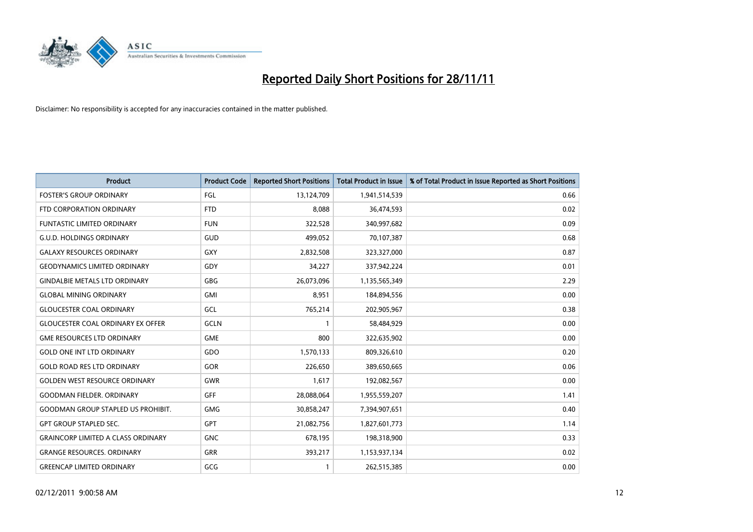

| Product                                   | <b>Product Code</b> | <b>Reported Short Positions</b> | <b>Total Product in Issue</b> | % of Total Product in Issue Reported as Short Positions |
|-------------------------------------------|---------------------|---------------------------------|-------------------------------|---------------------------------------------------------|
| <b>FOSTER'S GROUP ORDINARY</b>            | <b>FGL</b>          | 13,124,709                      | 1,941,514,539                 | 0.66                                                    |
| FTD CORPORATION ORDINARY                  | <b>FTD</b>          | 8,088                           | 36,474,593                    | 0.02                                                    |
| <b>FUNTASTIC LIMITED ORDINARY</b>         | <b>FUN</b>          | 322,528                         | 340,997,682                   | 0.09                                                    |
| <b>G.U.D. HOLDINGS ORDINARY</b>           | GUD                 | 499.052                         | 70,107,387                    | 0.68                                                    |
| <b>GALAXY RESOURCES ORDINARY</b>          | GXY                 | 2,832,508                       | 323,327,000                   | 0.87                                                    |
| <b>GEODYNAMICS LIMITED ORDINARY</b>       | GDY                 | 34,227                          | 337,942,224                   | 0.01                                                    |
| <b>GINDALBIE METALS LTD ORDINARY</b>      | <b>GBG</b>          | 26,073,096                      | 1,135,565,349                 | 2.29                                                    |
| <b>GLOBAL MINING ORDINARY</b>             | <b>GMI</b>          | 8,951                           | 184,894,556                   | 0.00                                                    |
| <b>GLOUCESTER COAL ORDINARY</b>           | GCL                 | 765,214                         | 202,905,967                   | 0.38                                                    |
| <b>GLOUCESTER COAL ORDINARY EX OFFER</b>  | GCLN                | $\mathbf{1}$                    | 58,484,929                    | 0.00                                                    |
| <b>GME RESOURCES LTD ORDINARY</b>         | <b>GME</b>          | 800                             | 322,635,902                   | 0.00                                                    |
| <b>GOLD ONE INT LTD ORDINARY</b>          | GDO                 | 1,570,133                       | 809,326,610                   | 0.20                                                    |
| <b>GOLD ROAD RES LTD ORDINARY</b>         | GOR                 | 226,650                         | 389,650,665                   | 0.06                                                    |
| <b>GOLDEN WEST RESOURCE ORDINARY</b>      | <b>GWR</b>          | 1,617                           | 192,082,567                   | 0.00                                                    |
| <b>GOODMAN FIELDER. ORDINARY</b>          | <b>GFF</b>          | 28,088,064                      | 1,955,559,207                 | 1.41                                                    |
| <b>GOODMAN GROUP STAPLED US PROHIBIT.</b> | GMG                 | 30,858,247                      | 7,394,907,651                 | 0.40                                                    |
| <b>GPT GROUP STAPLED SEC.</b>             | GPT                 | 21,082,756                      | 1,827,601,773                 | 1.14                                                    |
| <b>GRAINCORP LIMITED A CLASS ORDINARY</b> | <b>GNC</b>          | 678,195                         | 198,318,900                   | 0.33                                                    |
| <b>GRANGE RESOURCES, ORDINARY</b>         | GRR                 | 393,217                         | 1,153,937,134                 | 0.02                                                    |
| <b>GREENCAP LIMITED ORDINARY</b>          | GCG                 | 1                               | 262,515,385                   | 0.00                                                    |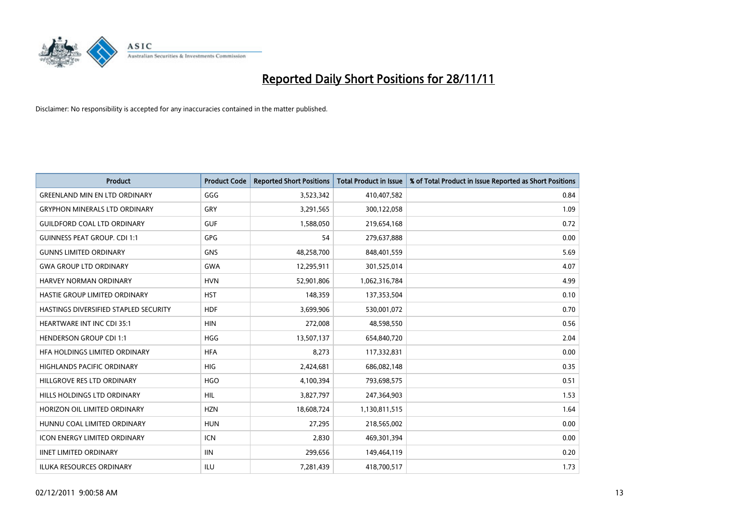

| Product                               | <b>Product Code</b> | <b>Reported Short Positions</b> | <b>Total Product in Issue</b> | % of Total Product in Issue Reported as Short Positions |
|---------------------------------------|---------------------|---------------------------------|-------------------------------|---------------------------------------------------------|
| <b>GREENLAND MIN EN LTD ORDINARY</b>  | GGG                 | 3,523,342                       | 410,407,582                   | 0.84                                                    |
| <b>GRYPHON MINERALS LTD ORDINARY</b>  | <b>GRY</b>          | 3,291,565                       | 300,122,058                   | 1.09                                                    |
| <b>GUILDFORD COAL LTD ORDINARY</b>    | <b>GUF</b>          | 1,588,050                       | 219,654,168                   | 0.72                                                    |
| <b>GUINNESS PEAT GROUP. CDI 1:1</b>   | <b>GPG</b>          | 54                              | 279,637,888                   | 0.00                                                    |
| <b>GUNNS LIMITED ORDINARY</b>         | <b>GNS</b>          | 48,258,700                      | 848,401,559                   | 5.69                                                    |
| <b>GWA GROUP LTD ORDINARY</b>         | <b>GWA</b>          | 12,295,911                      | 301,525,014                   | 4.07                                                    |
| <b>HARVEY NORMAN ORDINARY</b>         | <b>HVN</b>          | 52,901,806                      | 1,062,316,784                 | 4.99                                                    |
| HASTIE GROUP LIMITED ORDINARY         | <b>HST</b>          | 148,359                         | 137,353,504                   | 0.10                                                    |
| HASTINGS DIVERSIFIED STAPLED SECURITY | <b>HDF</b>          | 3,699,906                       | 530,001,072                   | 0.70                                                    |
| <b>HEARTWARE INT INC CDI 35:1</b>     | <b>HIN</b>          | 272,008                         | 48,598,550                    | 0.56                                                    |
| <b>HENDERSON GROUP CDI 1:1</b>        | <b>HGG</b>          | 13,507,137                      | 654,840,720                   | 2.04                                                    |
| HFA HOLDINGS LIMITED ORDINARY         | <b>HFA</b>          | 8,273                           | 117,332,831                   | 0.00                                                    |
| HIGHLANDS PACIFIC ORDINARY            | <b>HIG</b>          | 2,424,681                       | 686,082,148                   | 0.35                                                    |
| HILLGROVE RES LTD ORDINARY            | <b>HGO</b>          | 4,100,394                       | 793,698,575                   | 0.51                                                    |
| HILLS HOLDINGS LTD ORDINARY           | <b>HIL</b>          | 3,827,797                       | 247,364,903                   | 1.53                                                    |
| HORIZON OIL LIMITED ORDINARY          | <b>HZN</b>          | 18,608,724                      | 1,130,811,515                 | 1.64                                                    |
| HUNNU COAL LIMITED ORDINARY           | <b>HUN</b>          | 27,295                          | 218,565,002                   | 0.00                                                    |
| <b>ICON ENERGY LIMITED ORDINARY</b>   | ICN                 | 2,830                           | 469,301,394                   | 0.00                                                    |
| <b>IINET LIMITED ORDINARY</b>         | <b>IIN</b>          | 299,656                         | 149,464,119                   | 0.20                                                    |
| ILUKA RESOURCES ORDINARY              | ILU                 | 7,281,439                       | 418,700,517                   | 1.73                                                    |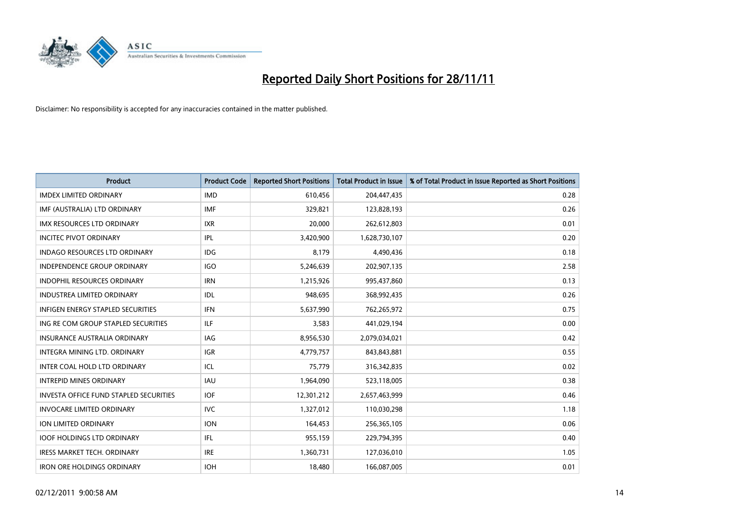

| <b>Product</b>                         | <b>Product Code</b> | <b>Reported Short Positions</b> | Total Product in Issue | % of Total Product in Issue Reported as Short Positions |
|----------------------------------------|---------------------|---------------------------------|------------------------|---------------------------------------------------------|
| <b>IMDEX LIMITED ORDINARY</b>          | <b>IMD</b>          | 610,456                         | 204,447,435            | 0.28                                                    |
| IMF (AUSTRALIA) LTD ORDINARY           | <b>IMF</b>          | 329,821                         | 123,828,193            | 0.26                                                    |
| <b>IMX RESOURCES LTD ORDINARY</b>      | <b>IXR</b>          | 20,000                          | 262,612,803            | 0.01                                                    |
| <b>INCITEC PIVOT ORDINARY</b>          | <b>IPL</b>          | 3,420,900                       | 1,628,730,107          | 0.20                                                    |
| <b>INDAGO RESOURCES LTD ORDINARY</b>   | <b>IDG</b>          | 8,179                           | 4,490,436              | 0.18                                                    |
| INDEPENDENCE GROUP ORDINARY            | <b>IGO</b>          | 5,246,639                       | 202,907,135            | 2.58                                                    |
| <b>INDOPHIL RESOURCES ORDINARY</b>     | <b>IRN</b>          | 1,215,926                       | 995,437,860            | 0.13                                                    |
| <b>INDUSTREA LIMITED ORDINARY</b>      | IDL                 | 948,695                         | 368,992,435            | 0.26                                                    |
| INFIGEN ENERGY STAPLED SECURITIES      | <b>IFN</b>          | 5,637,990                       | 762,265,972            | 0.75                                                    |
| ING RE COM GROUP STAPLED SECURITIES    | ILF.                | 3,583                           | 441,029,194            | 0.00                                                    |
| <b>INSURANCE AUSTRALIA ORDINARY</b>    | IAG                 | 8,956,530                       | 2,079,034,021          | 0.42                                                    |
| <b>INTEGRA MINING LTD, ORDINARY</b>    | <b>IGR</b>          | 4,779,757                       | 843,843,881            | 0.55                                                    |
| INTER COAL HOLD LTD ORDINARY           | ICL                 | 75.779                          | 316, 342, 835          | 0.02                                                    |
| <b>INTREPID MINES ORDINARY</b>         | <b>IAU</b>          | 1,964,090                       | 523,118,005            | 0.38                                                    |
| INVESTA OFFICE FUND STAPLED SECURITIES | <b>IOF</b>          | 12,301,212                      | 2,657,463,999          | 0.46                                                    |
| <b>INVOCARE LIMITED ORDINARY</b>       | <b>IVC</b>          | 1,327,012                       | 110,030,298            | 1.18                                                    |
| <b>ION LIMITED ORDINARY</b>            | <b>ION</b>          | 164,453                         | 256,365,105            | 0.06                                                    |
| <b>IOOF HOLDINGS LTD ORDINARY</b>      | IFL                 | 955,159                         | 229,794,395            | 0.40                                                    |
| <b>IRESS MARKET TECH. ORDINARY</b>     | <b>IRE</b>          | 1,360,731                       | 127,036,010            | 1.05                                                    |
| <b>IRON ORE HOLDINGS ORDINARY</b>      | <b>IOH</b>          | 18,480                          | 166,087,005            | 0.01                                                    |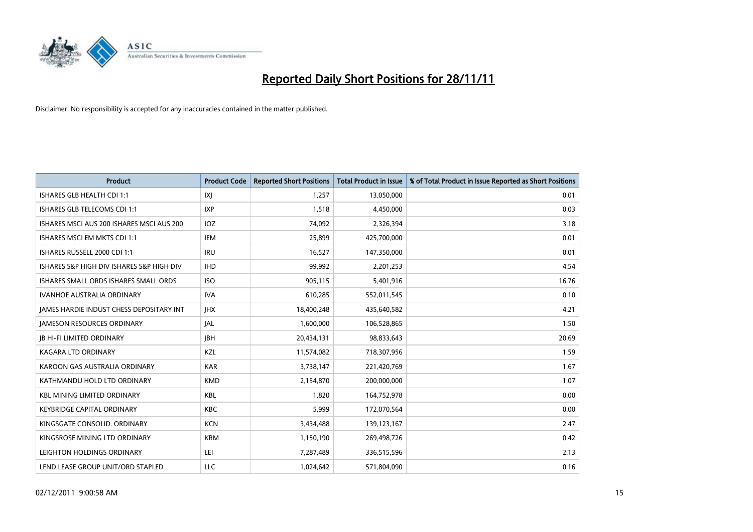

| Product                                   | <b>Product Code</b> | <b>Reported Short Positions</b> | <b>Total Product in Issue</b> | % of Total Product in Issue Reported as Short Positions |
|-------------------------------------------|---------------------|---------------------------------|-------------------------------|---------------------------------------------------------|
| ISHARES GLB HEALTH CDI 1:1                | IXJ                 | 1,257                           | 13,050,000                    | 0.01                                                    |
| ISHARES GLB TELECOMS CDI 1:1              | <b>IXP</b>          | 1,518                           | 4,450,000                     | 0.03                                                    |
| ISHARES MSCI AUS 200 ISHARES MSCI AUS 200 | <b>IOZ</b>          | 74,092                          | 2,326,394                     | 3.18                                                    |
| ISHARES MSCI EM MKTS CDI 1:1              | IEM                 | 25,899                          | 425,700,000                   | 0.01                                                    |
| ISHARES RUSSELL 2000 CDI 1:1              | <b>IRU</b>          | 16,527                          | 147,350,000                   | 0.01                                                    |
| ISHARES S&P HIGH DIV ISHARES S&P HIGH DIV | <b>IHD</b>          | 99,992                          | 2,201,253                     | 4.54                                                    |
| ISHARES SMALL ORDS ISHARES SMALL ORDS     | <b>ISO</b>          | 905,115                         | 5,401,916                     | 16.76                                                   |
| <b>IVANHOE AUSTRALIA ORDINARY</b>         | <b>IVA</b>          | 610,285                         | 552,011,545                   | 0.10                                                    |
| JAMES HARDIE INDUST CHESS DEPOSITARY INT  | <b>JHX</b>          | 18,400,248                      | 435,640,582                   | 4.21                                                    |
| <b>JAMESON RESOURCES ORDINARY</b>         | JAL                 | 1,600,000                       | 106,528,865                   | 1.50                                                    |
| <b>JB HI-FI LIMITED ORDINARY</b>          | <b>IBH</b>          | 20,434,131                      | 98,833,643                    | 20.69                                                   |
| <b>KAGARA LTD ORDINARY</b>                | KZL                 | 11,574,082                      | 718,307,956                   | 1.59                                                    |
| KAROON GAS AUSTRALIA ORDINARY             | <b>KAR</b>          | 3,738,147                       | 221,420,769                   | 1.67                                                    |
| KATHMANDU HOLD LTD ORDINARY               | <b>KMD</b>          | 2,154,870                       | 200,000,000                   | 1.07                                                    |
| <b>KBL MINING LIMITED ORDINARY</b>        | <b>KBL</b>          | 1,820                           | 164,752,978                   | 0.00                                                    |
| <b>KEYBRIDGE CAPITAL ORDINARY</b>         | KBC                 | 5,999                           | 172,070,564                   | 0.00                                                    |
| KINGSGATE CONSOLID. ORDINARY              | <b>KCN</b>          | 3,434,488                       | 139,123,167                   | 2.47                                                    |
| KINGSROSE MINING LTD ORDINARY             | <b>KRM</b>          | 1,150,190                       | 269,498,726                   | 0.42                                                    |
| LEIGHTON HOLDINGS ORDINARY                | LEI                 | 7,287,489                       | 336,515,596                   | 2.13                                                    |
| LEND LEASE GROUP UNIT/ORD STAPLED         | LLC                 | 1,024,642                       | 571,804,090                   | 0.16                                                    |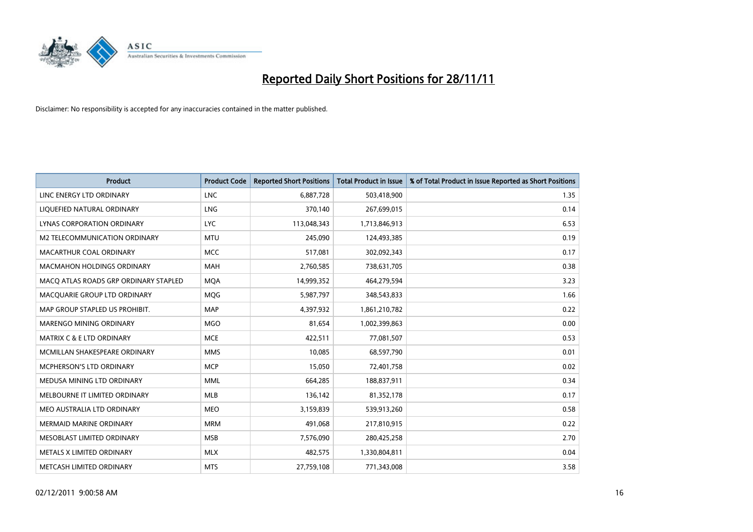

| Product                               | <b>Product Code</b> | <b>Reported Short Positions</b> | <b>Total Product in Issue</b> | % of Total Product in Issue Reported as Short Positions |
|---------------------------------------|---------------------|---------------------------------|-------------------------------|---------------------------------------------------------|
| LINC ENERGY LTD ORDINARY              | <b>LNC</b>          | 6,887,728                       | 503,418,900                   | 1.35                                                    |
| LIQUEFIED NATURAL ORDINARY            | <b>LNG</b>          | 370,140                         | 267,699,015                   | 0.14                                                    |
| <b>LYNAS CORPORATION ORDINARY</b>     | <b>LYC</b>          | 113,048,343                     | 1,713,846,913                 | 6.53                                                    |
| M2 TELECOMMUNICATION ORDINARY         | <b>MTU</b>          | 245,090                         | 124,493,385                   | 0.19                                                    |
| MACARTHUR COAL ORDINARY               | <b>MCC</b>          | 517,081                         | 302,092,343                   | 0.17                                                    |
| <b>MACMAHON HOLDINGS ORDINARY</b>     | <b>MAH</b>          | 2,760,585                       | 738,631,705                   | 0.38                                                    |
| MACO ATLAS ROADS GRP ORDINARY STAPLED | <b>MOA</b>          | 14,999,352                      | 464,279,594                   | 3.23                                                    |
| MACQUARIE GROUP LTD ORDINARY          | <b>MQG</b>          | 5,987,797                       | 348,543,833                   | 1.66                                                    |
| MAP GROUP STAPLED US PROHIBIT.        | <b>MAP</b>          | 4,397,932                       | 1,861,210,782                 | 0.22                                                    |
| MARENGO MINING ORDINARY               | <b>MGO</b>          | 81,654                          | 1,002,399,863                 | 0.00                                                    |
| MATRIX C & E LTD ORDINARY             | <b>MCE</b>          | 422,511                         | 77,081,507                    | 0.53                                                    |
| MCMILLAN SHAKESPEARE ORDINARY         | <b>MMS</b>          | 10,085                          | 68,597,790                    | 0.01                                                    |
| MCPHERSON'S LTD ORDINARY              | <b>MCP</b>          | 15,050                          | 72,401,758                    | 0.02                                                    |
| MEDUSA MINING LTD ORDINARY            | <b>MML</b>          | 664,285                         | 188,837,911                   | 0.34                                                    |
| MELBOURNE IT LIMITED ORDINARY         | MLB                 | 136,142                         | 81,352,178                    | 0.17                                                    |
| MEO AUSTRALIA LTD ORDINARY            | <b>MEO</b>          | 3,159,839                       | 539,913,260                   | 0.58                                                    |
| MERMAID MARINE ORDINARY               | <b>MRM</b>          | 491,068                         | 217,810,915                   | 0.22                                                    |
| MESOBLAST LIMITED ORDINARY            | <b>MSB</b>          | 7,576,090                       | 280,425,258                   | 2.70                                                    |
| <b>METALS X LIMITED ORDINARY</b>      | <b>MLX</b>          | 482,575                         | 1,330,804,811                 | 0.04                                                    |
| METCASH LIMITED ORDINARY              | <b>MTS</b>          | 27,759,108                      | 771,343,008                   | 3.58                                                    |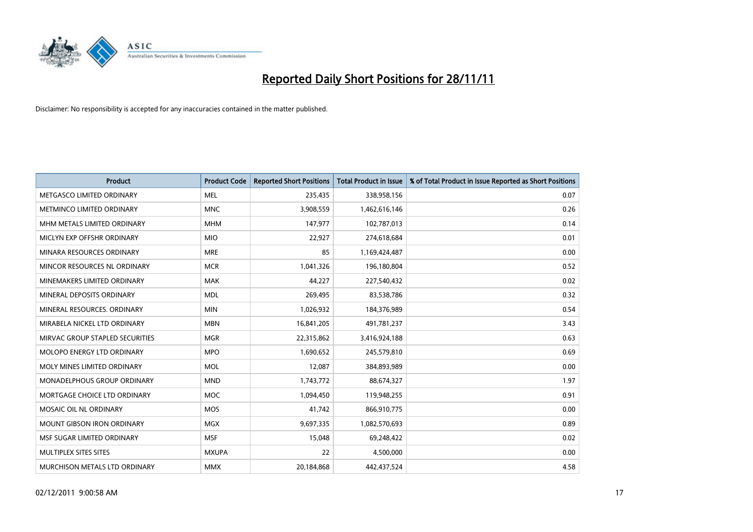

| <b>Product</b>                     | <b>Product Code</b> | <b>Reported Short Positions</b> | <b>Total Product in Issue</b> | % of Total Product in Issue Reported as Short Positions |
|------------------------------------|---------------------|---------------------------------|-------------------------------|---------------------------------------------------------|
| METGASCO LIMITED ORDINARY          | <b>MEL</b>          | 235,435                         | 338,958,156                   | 0.07                                                    |
| METMINCO LIMITED ORDINARY          | <b>MNC</b>          | 3,908,559                       | 1,462,616,146                 | 0.26                                                    |
| MHM METALS LIMITED ORDINARY        | <b>MHM</b>          | 147,977                         | 102,787,013                   | 0.14                                                    |
| MICLYN EXP OFFSHR ORDINARY         | <b>MIO</b>          | 22,927                          | 274,618,684                   | 0.01                                                    |
| MINARA RESOURCES ORDINARY          | <b>MRE</b>          | 85                              | 1,169,424,487                 | 0.00                                                    |
| MINCOR RESOURCES NL ORDINARY       | <b>MCR</b>          | 1,041,326                       | 196,180,804                   | 0.52                                                    |
| MINEMAKERS LIMITED ORDINARY        | <b>MAK</b>          | 44,227                          | 227,540,432                   | 0.02                                                    |
| MINERAL DEPOSITS ORDINARY          | <b>MDL</b>          | 269,495                         | 83,538,786                    | 0.32                                                    |
| MINERAL RESOURCES, ORDINARY        | <b>MIN</b>          | 1,026,932                       | 184,376,989                   | 0.54                                                    |
| MIRABELA NICKEL LTD ORDINARY       | <b>MBN</b>          | 16,841,205                      | 491,781,237                   | 3.43                                                    |
| MIRVAC GROUP STAPLED SECURITIES    | <b>MGR</b>          | 22,315,862                      | 3,416,924,188                 | 0.63                                                    |
| <b>MOLOPO ENERGY LTD ORDINARY</b>  | <b>MPO</b>          | 1,690,652                       | 245,579,810                   | 0.69                                                    |
| MOLY MINES LIMITED ORDINARY        | <b>MOL</b>          | 12,087                          | 384,893,989                   | 0.00                                                    |
| <b>MONADELPHOUS GROUP ORDINARY</b> | <b>MND</b>          | 1,743,772                       | 88,674,327                    | 1.97                                                    |
| MORTGAGE CHOICE LTD ORDINARY       | <b>MOC</b>          | 1,094,450                       | 119,948,255                   | 0.91                                                    |
| MOSAIC OIL NL ORDINARY             | <b>MOS</b>          | 41,742                          | 866,910,775                   | 0.00                                                    |
| MOUNT GIBSON IRON ORDINARY         | <b>MGX</b>          | 9,697,335                       | 1,082,570,693                 | 0.89                                                    |
| MSF SUGAR LIMITED ORDINARY         | <b>MSF</b>          | 15,048                          | 69,248,422                    | 0.02                                                    |
| MULTIPLEX SITES SITES              | <b>MXUPA</b>        | 22                              | 4,500,000                     | 0.00                                                    |
| MURCHISON METALS LTD ORDINARY      | <b>MMX</b>          | 20,184,868                      | 442,437,524                   | 4.58                                                    |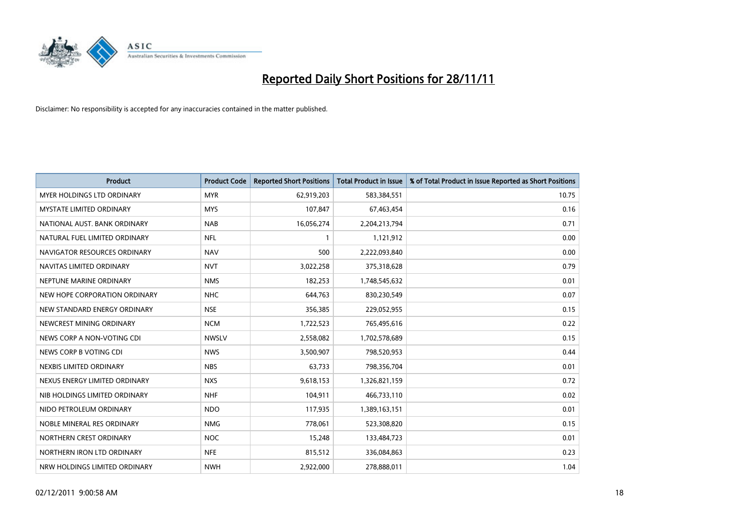

| Product                         | <b>Product Code</b> | <b>Reported Short Positions</b> | <b>Total Product in Issue</b> | % of Total Product in Issue Reported as Short Positions |
|---------------------------------|---------------------|---------------------------------|-------------------------------|---------------------------------------------------------|
| MYER HOLDINGS LTD ORDINARY      | <b>MYR</b>          | 62,919,203                      | 583,384,551                   | 10.75                                                   |
| <b>MYSTATE LIMITED ORDINARY</b> | <b>MYS</b>          | 107,847                         | 67,463,454                    | 0.16                                                    |
| NATIONAL AUST, BANK ORDINARY    | <b>NAB</b>          | 16,056,274                      | 2,204,213,794                 | 0.71                                                    |
| NATURAL FUEL LIMITED ORDINARY   | <b>NFL</b>          | $\mathbf{1}$                    | 1,121,912                     | 0.00                                                    |
| NAVIGATOR RESOURCES ORDINARY    | <b>NAV</b>          | 500                             | 2,222,093,840                 | 0.00                                                    |
| NAVITAS LIMITED ORDINARY        | <b>NVT</b>          | 3,022,258                       | 375,318,628                   | 0.79                                                    |
| NEPTUNE MARINE ORDINARY         | <b>NMS</b>          | 182,253                         | 1,748,545,632                 | 0.01                                                    |
| NEW HOPE CORPORATION ORDINARY   | <b>NHC</b>          | 644,763                         | 830,230,549                   | 0.07                                                    |
| NEW STANDARD ENERGY ORDINARY    | <b>NSE</b>          | 356,385                         | 229,052,955                   | 0.15                                                    |
| NEWCREST MINING ORDINARY        | <b>NCM</b>          | 1,722,523                       | 765,495,616                   | 0.22                                                    |
| NEWS CORP A NON-VOTING CDI      | <b>NWSLV</b>        | 2,558,082                       | 1,702,578,689                 | 0.15                                                    |
| NEWS CORP B VOTING CDI          | <b>NWS</b>          | 3,500,907                       | 798,520,953                   | 0.44                                                    |
| NEXBIS LIMITED ORDINARY         | <b>NBS</b>          | 63,733                          | 798,356,704                   | 0.01                                                    |
| NEXUS ENERGY LIMITED ORDINARY   | <b>NXS</b>          | 9,618,153                       | 1,326,821,159                 | 0.72                                                    |
| NIB HOLDINGS LIMITED ORDINARY   | <b>NHF</b>          | 104,911                         | 466,733,110                   | 0.02                                                    |
| NIDO PETROLEUM ORDINARY         | <b>NDO</b>          | 117,935                         | 1,389,163,151                 | 0.01                                                    |
| NOBLE MINERAL RES ORDINARY      | <b>NMG</b>          | 778,061                         | 523,308,820                   | 0.15                                                    |
| NORTHERN CREST ORDINARY         | <b>NOC</b>          | 15,248                          | 133,484,723                   | 0.01                                                    |
| NORTHERN IRON LTD ORDINARY      | <b>NFE</b>          | 815,512                         | 336,084,863                   | 0.23                                                    |
| NRW HOLDINGS LIMITED ORDINARY   | <b>NWH</b>          | 2,922,000                       | 278,888,011                   | 1.04                                                    |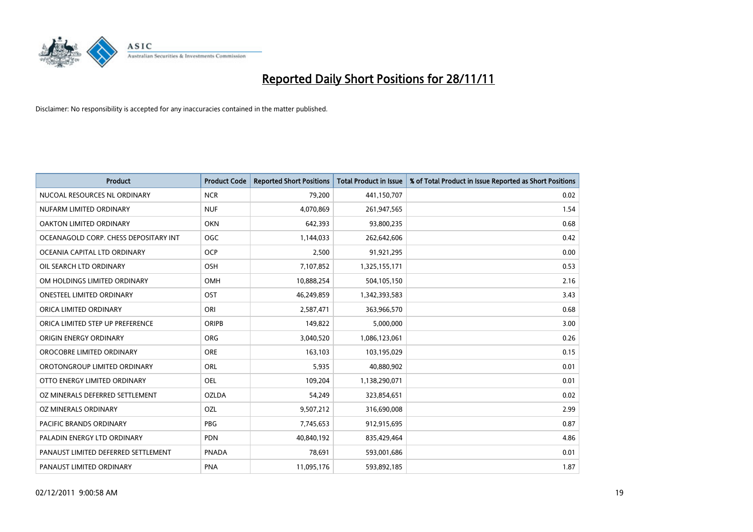

| Product                               | <b>Product Code</b> | <b>Reported Short Positions</b> | <b>Total Product in Issue</b> | % of Total Product in Issue Reported as Short Positions |
|---------------------------------------|---------------------|---------------------------------|-------------------------------|---------------------------------------------------------|
| NUCOAL RESOURCES NL ORDINARY          | <b>NCR</b>          | 79,200                          | 441,150,707                   | 0.02                                                    |
| NUFARM LIMITED ORDINARY               | <b>NUF</b>          | 4,070,869                       | 261,947,565                   | 1.54                                                    |
| OAKTON LIMITED ORDINARY               | <b>OKN</b>          | 642,393                         | 93,800,235                    | 0.68                                                    |
| OCEANAGOLD CORP. CHESS DEPOSITARY INT | <b>OGC</b>          | 1,144,033                       | 262,642,606                   | 0.42                                                    |
| OCEANIA CAPITAL LTD ORDINARY          | <b>OCP</b>          | 2,500                           | 91,921,295                    | 0.00                                                    |
| OIL SEARCH LTD ORDINARY               | OSH                 | 7,107,852                       | 1,325,155,171                 | 0.53                                                    |
| OM HOLDINGS LIMITED ORDINARY          | <b>OMH</b>          | 10,888,254                      | 504,105,150                   | 2.16                                                    |
| <b>ONESTEEL LIMITED ORDINARY</b>      | OST                 | 46,249,859                      | 1,342,393,583                 | 3.43                                                    |
| ORICA LIMITED ORDINARY                | ORI                 | 2,587,471                       | 363,966,570                   | 0.68                                                    |
| ORICA LIMITED STEP UP PREFERENCE      | <b>ORIPB</b>        | 149,822                         | 5,000,000                     | 3.00                                                    |
| ORIGIN ENERGY ORDINARY                | ORG                 | 3,040,520                       | 1,086,123,061                 | 0.26                                                    |
| OROCOBRE LIMITED ORDINARY             | <b>ORE</b>          | 163,103                         | 103,195,029                   | 0.15                                                    |
| OROTONGROUP LIMITED ORDINARY          | ORL                 | 5,935                           | 40,880,902                    | 0.01                                                    |
| OTTO ENERGY LIMITED ORDINARY          | OEL                 | 109,204                         | 1,138,290,071                 | 0.01                                                    |
| OZ MINERALS DEFERRED SETTLEMENT       | <b>OZLDA</b>        | 54,249                          | 323,854,651                   | 0.02                                                    |
| <b>OZ MINERALS ORDINARY</b>           | OZL                 | 9,507,212                       | 316,690,008                   | 2.99                                                    |
| PACIFIC BRANDS ORDINARY               | <b>PBG</b>          | 7,745,653                       | 912,915,695                   | 0.87                                                    |
| PALADIN ENERGY LTD ORDINARY           | <b>PDN</b>          | 40,840,192                      | 835,429,464                   | 4.86                                                    |
| PANAUST LIMITED DEFERRED SETTLEMENT   | <b>PNADA</b>        | 78,691                          | 593,001,686                   | 0.01                                                    |
| PANAUST LIMITED ORDINARY              | <b>PNA</b>          | 11,095,176                      | 593,892,185                   | 1.87                                                    |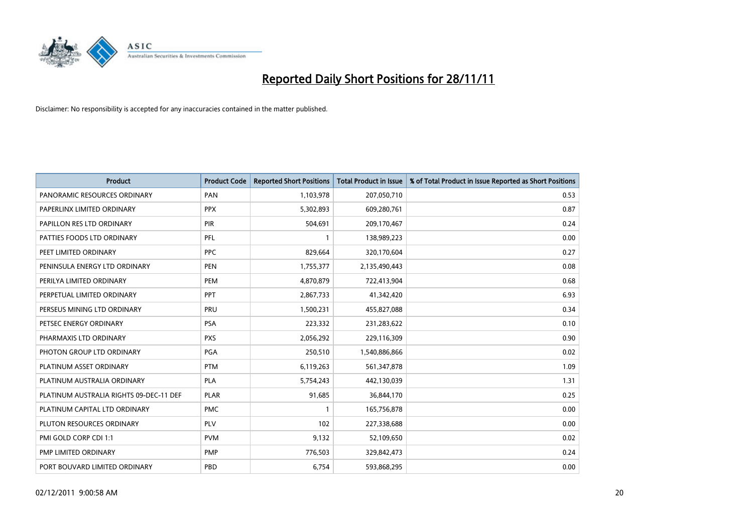

| <b>Product</b>                          | <b>Product Code</b> | <b>Reported Short Positions</b> | <b>Total Product in Issue</b> | % of Total Product in Issue Reported as Short Positions |
|-----------------------------------------|---------------------|---------------------------------|-------------------------------|---------------------------------------------------------|
| PANORAMIC RESOURCES ORDINARY            | PAN                 | 1,103,978                       | 207,050,710                   | 0.53                                                    |
| PAPERLINX LIMITED ORDINARY              | <b>PPX</b>          | 5,302,893                       | 609,280,761                   | 0.87                                                    |
| PAPILLON RES LTD ORDINARY               | <b>PIR</b>          | 504,691                         | 209,170,467                   | 0.24                                                    |
| PATTIES FOODS LTD ORDINARY              | PFL                 | $\mathbf{1}$                    | 138,989,223                   | 0.00                                                    |
| PEET LIMITED ORDINARY                   | <b>PPC</b>          | 829,664                         | 320,170,604                   | 0.27                                                    |
| PENINSULA ENERGY LTD ORDINARY           | <b>PEN</b>          | 1,755,377                       | 2,135,490,443                 | 0.08                                                    |
| PERILYA LIMITED ORDINARY                | <b>PEM</b>          | 4,870,879                       | 722,413,904                   | 0.68                                                    |
| PERPETUAL LIMITED ORDINARY              | PPT                 | 2,867,733                       | 41,342,420                    | 6.93                                                    |
| PERSEUS MINING LTD ORDINARY             | PRU                 | 1,500,231                       | 455,827,088                   | 0.34                                                    |
| PETSEC ENERGY ORDINARY                  | <b>PSA</b>          | 223,332                         | 231,283,622                   | 0.10                                                    |
| PHARMAXIS LTD ORDINARY                  | <b>PXS</b>          | 2,056,292                       | 229,116,309                   | 0.90                                                    |
| PHOTON GROUP LTD ORDINARY               | PGA                 | 250,510                         | 1,540,886,866                 | 0.02                                                    |
| PLATINUM ASSET ORDINARY                 | <b>PTM</b>          | 6,119,263                       | 561,347,878                   | 1.09                                                    |
| PLATINUM AUSTRALIA ORDINARY             | PLA                 | 5,754,243                       | 442,130,039                   | 1.31                                                    |
| PLATINUM AUSTRALIA RIGHTS 09-DEC-11 DEF | <b>PLAR</b>         | 91,685                          | 36,844,170                    | 0.25                                                    |
| PLATINUM CAPITAL LTD ORDINARY           | <b>PMC</b>          |                                 | 165,756,878                   | 0.00                                                    |
| PLUTON RESOURCES ORDINARY               | PLV                 | 102                             | 227,338,688                   | 0.00                                                    |
| PMI GOLD CORP CDI 1:1                   | <b>PVM</b>          | 9,132                           | 52,109,650                    | 0.02                                                    |
| PMP LIMITED ORDINARY                    | <b>PMP</b>          | 776,503                         | 329,842,473                   | 0.24                                                    |
| PORT BOUVARD LIMITED ORDINARY           | PBD                 | 6,754                           | 593,868,295                   | 0.00                                                    |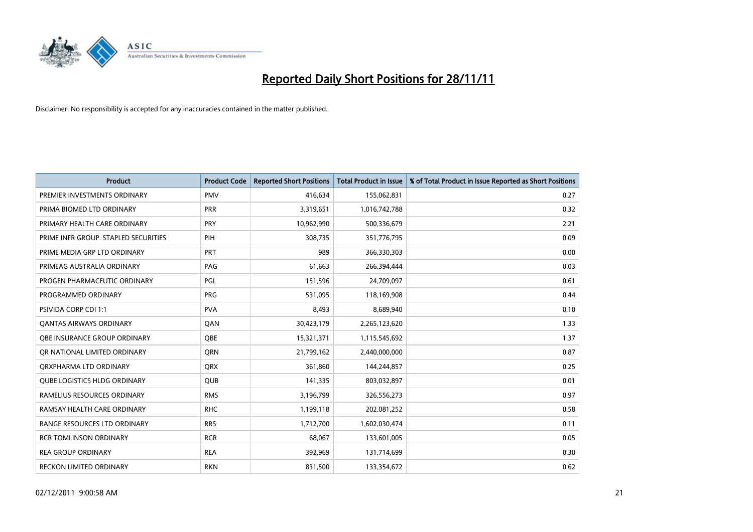

| Product                              | <b>Product Code</b> | <b>Reported Short Positions</b> | <b>Total Product in Issue</b> | % of Total Product in Issue Reported as Short Positions |
|--------------------------------------|---------------------|---------------------------------|-------------------------------|---------------------------------------------------------|
| PREMIER INVESTMENTS ORDINARY         | <b>PMV</b>          | 416,634                         | 155,062,831                   | 0.27                                                    |
| PRIMA BIOMED LTD ORDINARY            | <b>PRR</b>          | 3,319,651                       | 1,016,742,788                 | 0.32                                                    |
| PRIMARY HEALTH CARE ORDINARY         | <b>PRY</b>          | 10,962,990                      | 500,336,679                   | 2.21                                                    |
| PRIME INFR GROUP. STAPLED SECURITIES | PIH                 | 308,735                         | 351,776,795                   | 0.09                                                    |
| PRIME MEDIA GRP LTD ORDINARY         | PRT                 | 989                             | 366,330,303                   | 0.00                                                    |
| PRIMEAG AUSTRALIA ORDINARY           | PAG                 | 61,663                          | 266,394,444                   | 0.03                                                    |
| PROGEN PHARMACEUTIC ORDINARY         | PGL                 | 151,596                         | 24,709,097                    | 0.61                                                    |
| PROGRAMMED ORDINARY                  | <b>PRG</b>          | 531,095                         | 118,169,908                   | 0.44                                                    |
| PSIVIDA CORP CDI 1:1                 | <b>PVA</b>          | 8,493                           | 8,689,940                     | 0.10                                                    |
| OANTAS AIRWAYS ORDINARY              | QAN                 | 30,423,179                      | 2,265,123,620                 | 1.33                                                    |
| OBE INSURANCE GROUP ORDINARY         | QBE                 | 15,321,371                      | 1,115,545,692                 | 1.37                                                    |
| OR NATIONAL LIMITED ORDINARY         | <b>ORN</b>          | 21,799,162                      | 2,440,000,000                 | 0.87                                                    |
| ORXPHARMA LTD ORDINARY               | QRX                 | 361,860                         | 144,244,857                   | 0.25                                                    |
| <b>QUBE LOGISTICS HLDG ORDINARY</b>  | <b>QUB</b>          | 141,335                         | 803,032,897                   | 0.01                                                    |
| RAMELIUS RESOURCES ORDINARY          | <b>RMS</b>          | 3,196,799                       | 326,556,273                   | 0.97                                                    |
| RAMSAY HEALTH CARE ORDINARY          | <b>RHC</b>          | 1,199,118                       | 202,081,252                   | 0.58                                                    |
| RANGE RESOURCES LTD ORDINARY         | <b>RRS</b>          | 1,712,700                       | 1,602,030,474                 | 0.11                                                    |
| <b>RCR TOMLINSON ORDINARY</b>        | <b>RCR</b>          | 68,067                          | 133,601,005                   | 0.05                                                    |
| <b>REA GROUP ORDINARY</b>            | <b>REA</b>          | 392,969                         | 131,714,699                   | 0.30                                                    |
| <b>RECKON LIMITED ORDINARY</b>       | <b>RKN</b>          | 831,500                         | 133,354,672                   | 0.62                                                    |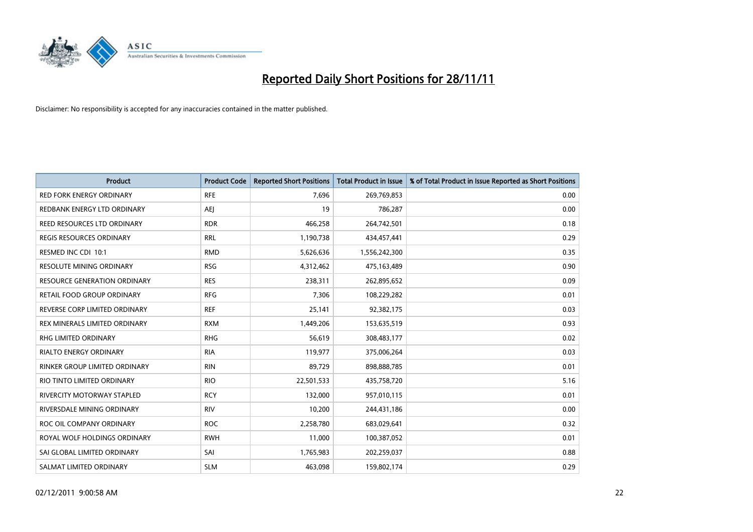

| Product                         | <b>Product Code</b> | <b>Reported Short Positions</b> | <b>Total Product in Issue</b> | % of Total Product in Issue Reported as Short Positions |
|---------------------------------|---------------------|---------------------------------|-------------------------------|---------------------------------------------------------|
| <b>RED FORK ENERGY ORDINARY</b> | <b>RFE</b>          | 7,696                           | 269,769,853                   | 0.00                                                    |
| REDBANK ENERGY LTD ORDINARY     | AEJ                 | 19                              | 786,287                       | 0.00                                                    |
| REED RESOURCES LTD ORDINARY     | <b>RDR</b>          | 466,258                         | 264,742,501                   | 0.18                                                    |
| REGIS RESOURCES ORDINARY        | <b>RRL</b>          | 1,190,738                       | 434,457,441                   | 0.29                                                    |
| RESMED INC CDI 10:1             | <b>RMD</b>          | 5,626,636                       | 1,556,242,300                 | 0.35                                                    |
| RESOLUTE MINING ORDINARY        | <b>RSG</b>          | 4,312,462                       | 475,163,489                   | 0.90                                                    |
| RESOURCE GENERATION ORDINARY    | <b>RES</b>          | 238,311                         | 262,895,652                   | 0.09                                                    |
| RETAIL FOOD GROUP ORDINARY      | <b>RFG</b>          | 7,306                           | 108,229,282                   | 0.01                                                    |
| REVERSE CORP LIMITED ORDINARY   | <b>REF</b>          | 25,141                          | 92,382,175                    | 0.03                                                    |
| REX MINERALS LIMITED ORDINARY   | <b>RXM</b>          | 1,449,206                       | 153,635,519                   | 0.93                                                    |
| RHG LIMITED ORDINARY            | <b>RHG</b>          | 56,619                          | 308,483,177                   | 0.02                                                    |
| <b>RIALTO ENERGY ORDINARY</b>   | <b>RIA</b>          | 119,977                         | 375,006,264                   | 0.03                                                    |
| RINKER GROUP LIMITED ORDINARY   | <b>RIN</b>          | 89,729                          | 898,888,785                   | 0.01                                                    |
| RIO TINTO LIMITED ORDINARY      | <b>RIO</b>          | 22,501,533                      | 435,758,720                   | 5.16                                                    |
| RIVERCITY MOTORWAY STAPLED      | <b>RCY</b>          | 132,000                         | 957,010,115                   | 0.01                                                    |
| RIVERSDALE MINING ORDINARY      | <b>RIV</b>          | 10,200                          | 244,431,186                   | 0.00                                                    |
| ROC OIL COMPANY ORDINARY        | <b>ROC</b>          | 2,258,780                       | 683,029,641                   | 0.32                                                    |
| ROYAL WOLF HOLDINGS ORDINARY    | <b>RWH</b>          | 11,000                          | 100,387,052                   | 0.01                                                    |
| SAI GLOBAL LIMITED ORDINARY     | SAI                 | 1,765,983                       | 202,259,037                   | 0.88                                                    |
| SALMAT LIMITED ORDINARY         | <b>SLM</b>          | 463,098                         | 159,802,174                   | 0.29                                                    |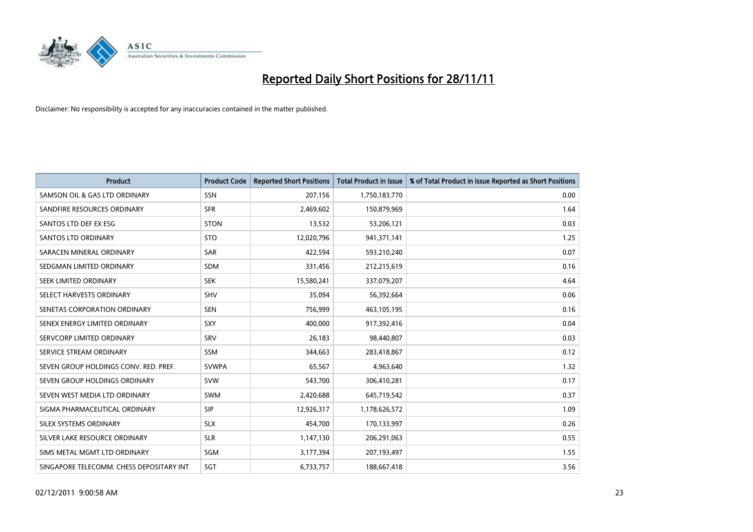

| Product                                  | <b>Product Code</b> | <b>Reported Short Positions</b> | <b>Total Product in Issue</b> | % of Total Product in Issue Reported as Short Positions |
|------------------------------------------|---------------------|---------------------------------|-------------------------------|---------------------------------------------------------|
| SAMSON OIL & GAS LTD ORDINARY            | SSN                 | 207,156                         | 1,750,183,770                 | 0.00                                                    |
| SANDFIRE RESOURCES ORDINARY              | <b>SFR</b>          | 2,469,602                       | 150,879,969                   | 1.64                                                    |
| SANTOS LTD DEF EX ESG                    | <b>STON</b>         | 13,532                          | 53,206,121                    | 0.03                                                    |
| SANTOS LTD ORDINARY                      | <b>STO</b>          | 12,020,796                      | 941,371,141                   | 1.25                                                    |
| SARACEN MINERAL ORDINARY                 | <b>SAR</b>          | 422.594                         | 593,210,240                   | 0.07                                                    |
| SEDGMAN LIMITED ORDINARY                 | <b>SDM</b>          | 331,456                         | 212,215,619                   | 0.16                                                    |
| SEEK LIMITED ORDINARY                    | <b>SEK</b>          | 15,580,241                      | 337,079,207                   | 4.64                                                    |
| SELECT HARVESTS ORDINARY                 | <b>SHV</b>          | 35,094                          | 56,392,664                    | 0.06                                                    |
| SENETAS CORPORATION ORDINARY             | <b>SEN</b>          | 756,999                         | 463,105,195                   | 0.16                                                    |
| SENEX ENERGY LIMITED ORDINARY            | <b>SXY</b>          | 400,000                         | 917,392,416                   | 0.04                                                    |
| SERVCORP LIMITED ORDINARY                | SRV                 | 26,183                          | 98,440,807                    | 0.03                                                    |
| SERVICE STREAM ORDINARY                  | <b>SSM</b>          | 344,663                         | 283,418,867                   | 0.12                                                    |
| SEVEN GROUP HOLDINGS CONV. RED. PREF.    | <b>SVWPA</b>        | 65,567                          | 4,963,640                     | 1.32                                                    |
| SEVEN GROUP HOLDINGS ORDINARY            | <b>SVW</b>          | 543,700                         | 306,410,281                   | 0.17                                                    |
| SEVEN WEST MEDIA LTD ORDINARY            | SWM                 | 2,420,688                       | 645,719,542                   | 0.37                                                    |
| SIGMA PHARMACEUTICAL ORDINARY            | <b>SIP</b>          | 12,926,317                      | 1,178,626,572                 | 1.09                                                    |
| SILEX SYSTEMS ORDINARY                   | <b>SLX</b>          | 454,700                         | 170,133,997                   | 0.26                                                    |
| SILVER LAKE RESOURCE ORDINARY            | <b>SLR</b>          | 1,147,130                       | 206,291,063                   | 0.55                                                    |
| SIMS METAL MGMT LTD ORDINARY             | SGM                 | 3,177,394                       | 207,193,497                   | 1.55                                                    |
| SINGAPORE TELECOMM. CHESS DEPOSITARY INT | SGT                 | 6,733,757                       | 188,667,418                   | 3.56                                                    |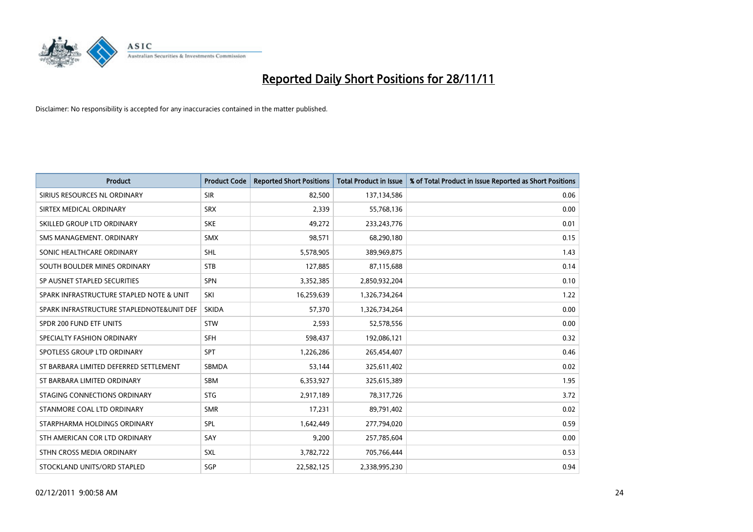

| Product                                   | <b>Product Code</b> | <b>Reported Short Positions</b> | <b>Total Product in Issue</b> | % of Total Product in Issue Reported as Short Positions |
|-------------------------------------------|---------------------|---------------------------------|-------------------------------|---------------------------------------------------------|
| SIRIUS RESOURCES NL ORDINARY              | <b>SIR</b>          | 82,500                          | 137,134,586                   | 0.06                                                    |
| SIRTEX MEDICAL ORDINARY                   | <b>SRX</b>          | 2,339                           | 55,768,136                    | 0.00                                                    |
| SKILLED GROUP LTD ORDINARY                | <b>SKE</b>          | 49,272                          | 233, 243, 776                 | 0.01                                                    |
| SMS MANAGEMENT. ORDINARY                  | <b>SMX</b>          | 98,571                          | 68,290,180                    | 0.15                                                    |
| SONIC HEALTHCARE ORDINARY                 | SHL                 | 5,578,905                       | 389,969,875                   | 1.43                                                    |
| SOUTH BOULDER MINES ORDINARY              | <b>STB</b>          | 127,885                         | 87,115,688                    | 0.14                                                    |
| SP AUSNET STAPLED SECURITIES              | <b>SPN</b>          | 3,352,385                       | 2,850,932,204                 | 0.10                                                    |
| SPARK INFRASTRUCTURE STAPLED NOTE & UNIT  | SKI                 | 16,259,639                      | 1,326,734,264                 | 1.22                                                    |
| SPARK INFRASTRUCTURE STAPLEDNOTE&UNIT DEF | <b>SKIDA</b>        | 57,370                          | 1,326,734,264                 | 0.00                                                    |
| SPDR 200 FUND ETF UNITS                   | <b>STW</b>          | 2,593                           | 52,578,556                    | 0.00                                                    |
| SPECIALTY FASHION ORDINARY                | <b>SFH</b>          | 598,437                         | 192,086,121                   | 0.32                                                    |
| SPOTLESS GROUP LTD ORDINARY               | <b>SPT</b>          | 1,226,286                       | 265,454,407                   | 0.46                                                    |
| ST BARBARA LIMITED DEFERRED SETTLEMENT    | SBMDA               | 53,144                          | 325,611,402                   | 0.02                                                    |
| ST BARBARA LIMITED ORDINARY               | SBM                 | 6,353,927                       | 325,615,389                   | 1.95                                                    |
| STAGING CONNECTIONS ORDINARY              | <b>STG</b>          | 2,917,189                       | 78,317,726                    | 3.72                                                    |
| STANMORE COAL LTD ORDINARY                | <b>SMR</b>          | 17,231                          | 89,791,402                    | 0.02                                                    |
| STARPHARMA HOLDINGS ORDINARY              | SPL                 | 1,642,449                       | 277,794,020                   | 0.59                                                    |
| STH AMERICAN COR LTD ORDINARY             | SAY                 | 9,200                           | 257,785,604                   | 0.00                                                    |
| STHN CROSS MEDIA ORDINARY                 | SXL                 | 3,782,722                       | 705,766,444                   | 0.53                                                    |
| STOCKLAND UNITS/ORD STAPLED               | SGP                 | 22,582,125                      | 2,338,995,230                 | 0.94                                                    |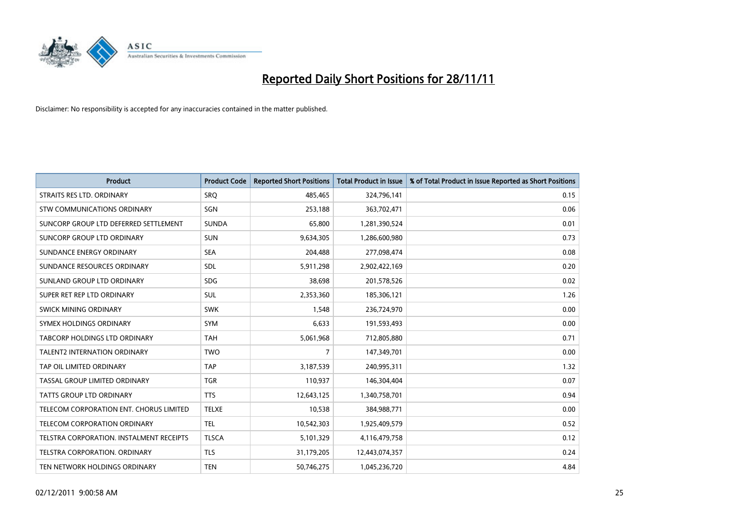

| <b>Product</b>                           | <b>Product Code</b> | <b>Reported Short Positions</b> | <b>Total Product in Issue</b> | % of Total Product in Issue Reported as Short Positions |
|------------------------------------------|---------------------|---------------------------------|-------------------------------|---------------------------------------------------------|
| STRAITS RES LTD. ORDINARY                | <b>SRQ</b>          | 485,465                         | 324,796,141                   | 0.15                                                    |
| STW COMMUNICATIONS ORDINARY              | SGN                 | 253,188                         | 363,702,471                   | 0.06                                                    |
| SUNCORP GROUP LTD DEFERRED SETTLEMENT    | <b>SUNDA</b>        | 65,800                          | 1,281,390,524                 | 0.01                                                    |
| SUNCORP GROUP LTD ORDINARY               | <b>SUN</b>          | 9,634,305                       | 1,286,600,980                 | 0.73                                                    |
| SUNDANCE ENERGY ORDINARY                 | <b>SEA</b>          | 204,488                         | 277,098,474                   | 0.08                                                    |
| SUNDANCE RESOURCES ORDINARY              | <b>SDL</b>          | 5,911,298                       | 2,902,422,169                 | 0.20                                                    |
| SUNLAND GROUP LTD ORDINARY               | <b>SDG</b>          | 38,698                          | 201,578,526                   | 0.02                                                    |
| SUPER RET REP LTD ORDINARY               | <b>SUL</b>          | 2,353,360                       | 185,306,121                   | 1.26                                                    |
| SWICK MINING ORDINARY                    | <b>SWK</b>          | 1,548                           | 236,724,970                   | 0.00                                                    |
| SYMEX HOLDINGS ORDINARY                  | SYM                 | 6,633                           | 191,593,493                   | 0.00                                                    |
| TABCORP HOLDINGS LTD ORDINARY            | <b>TAH</b>          | 5,061,968                       | 712,805,880                   | 0.71                                                    |
| <b>TALENT2 INTERNATION ORDINARY</b>      | <b>TWO</b>          | 7                               | 147,349,701                   | 0.00                                                    |
| TAP OIL LIMITED ORDINARY                 | TAP                 | 3,187,539                       | 240,995,311                   | 1.32                                                    |
| TASSAL GROUP LIMITED ORDINARY            | <b>TGR</b>          | 110,937                         | 146,304,404                   | 0.07                                                    |
| <b>TATTS GROUP LTD ORDINARY</b>          | <b>TTS</b>          | 12,643,125                      | 1,340,758,701                 | 0.94                                                    |
| TELECOM CORPORATION ENT. CHORUS LIMITED  | <b>TELXE</b>        | 10,538                          | 384,988,771                   | 0.00                                                    |
| <b>TELECOM CORPORATION ORDINARY</b>      | <b>TEL</b>          | 10,542,303                      | 1,925,409,579                 | 0.52                                                    |
| TELSTRA CORPORATION. INSTALMENT RECEIPTS | <b>TLSCA</b>        | 5,101,329                       | 4,116,479,758                 | 0.12                                                    |
| TELSTRA CORPORATION, ORDINARY            | <b>TLS</b>          | 31,179,205                      | 12,443,074,357                | 0.24                                                    |
| TEN NETWORK HOLDINGS ORDINARY            | <b>TEN</b>          | 50,746,275                      | 1,045,236,720                 | 4.84                                                    |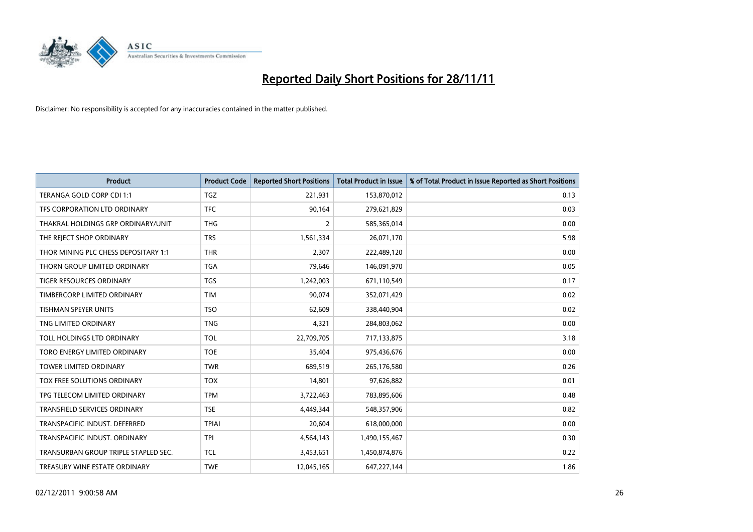

| Product                              | <b>Product Code</b> | <b>Reported Short Positions</b> | <b>Total Product in Issue</b> | % of Total Product in Issue Reported as Short Positions |
|--------------------------------------|---------------------|---------------------------------|-------------------------------|---------------------------------------------------------|
| TERANGA GOLD CORP CDI 1:1            | <b>TGZ</b>          | 221,931                         | 153,870,012                   | 0.13                                                    |
| TFS CORPORATION LTD ORDINARY         | <b>TFC</b>          | 90,164                          | 279,621,829                   | 0.03                                                    |
| THAKRAL HOLDINGS GRP ORDINARY/UNIT   | <b>THG</b>          | $\overline{2}$                  | 585,365,014                   | 0.00                                                    |
| THE REJECT SHOP ORDINARY             | <b>TRS</b>          | 1,561,334                       | 26,071,170                    | 5.98                                                    |
| THOR MINING PLC CHESS DEPOSITARY 1:1 | <b>THR</b>          | 2,307                           | 222,489,120                   | 0.00                                                    |
| THORN GROUP LIMITED ORDINARY         | <b>TGA</b>          | 79,646                          | 146,091,970                   | 0.05                                                    |
| <b>TIGER RESOURCES ORDINARY</b>      | <b>TGS</b>          | 1,242,003                       | 671,110,549                   | 0.17                                                    |
| TIMBERCORP LIMITED ORDINARY          | <b>TIM</b>          | 90,074                          | 352,071,429                   | 0.02                                                    |
| <b>TISHMAN SPEYER UNITS</b>          | <b>TSO</b>          | 62,609                          | 338,440,904                   | 0.02                                                    |
| TNG LIMITED ORDINARY                 | <b>TNG</b>          | 4,321                           | 284,803,062                   | 0.00                                                    |
| TOLL HOLDINGS LTD ORDINARY           | <b>TOL</b>          | 22,709,705                      | 717,133,875                   | 3.18                                                    |
| TORO ENERGY LIMITED ORDINARY         | <b>TOE</b>          | 35,404                          | 975,436,676                   | 0.00                                                    |
| TOWER LIMITED ORDINARY               | <b>TWR</b>          | 689,519                         | 265,176,580                   | 0.26                                                    |
| <b>TOX FREE SOLUTIONS ORDINARY</b>   | <b>TOX</b>          | 14,801                          | 97,626,882                    | 0.01                                                    |
| TPG TELECOM LIMITED ORDINARY         | <b>TPM</b>          | 3,722,463                       | 783,895,606                   | 0.48                                                    |
| <b>TRANSFIELD SERVICES ORDINARY</b>  | <b>TSE</b>          | 4,449,344                       | 548,357,906                   | 0.82                                                    |
| TRANSPACIFIC INDUST. DEFERRED        | <b>TPIAI</b>        | 20,604                          | 618,000,000                   | 0.00                                                    |
| TRANSPACIFIC INDUST, ORDINARY        | <b>TPI</b>          | 4,564,143                       | 1,490,155,467                 | 0.30                                                    |
| TRANSURBAN GROUP TRIPLE STAPLED SEC. | <b>TCL</b>          | 3,453,651                       | 1,450,874,876                 | 0.22                                                    |
| TREASURY WINE ESTATE ORDINARY        | <b>TWE</b>          | 12,045,165                      | 647,227,144                   | 1.86                                                    |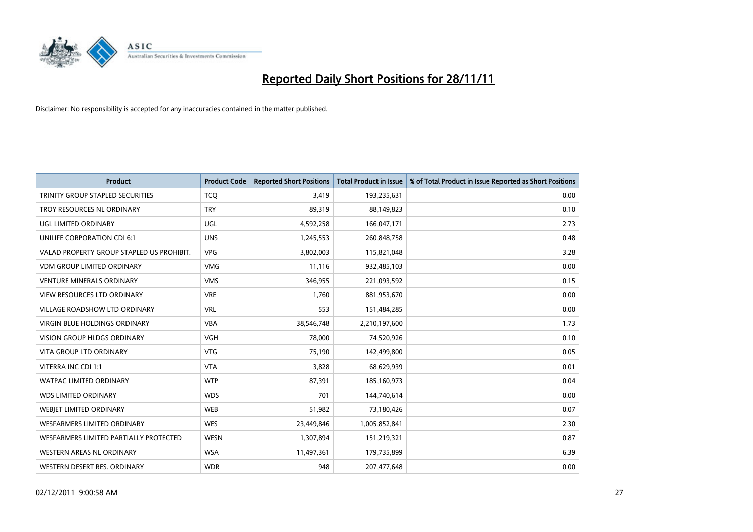

| Product                                   | <b>Product Code</b> | <b>Reported Short Positions</b> | <b>Total Product in Issue</b> | % of Total Product in Issue Reported as Short Positions |
|-------------------------------------------|---------------------|---------------------------------|-------------------------------|---------------------------------------------------------|
| TRINITY GROUP STAPLED SECURITIES          | <b>TCO</b>          | 3,419                           | 193,235,631                   | 0.00                                                    |
| TROY RESOURCES NL ORDINARY                | <b>TRY</b>          | 89,319                          | 88,149,823                    | 0.10                                                    |
| UGL LIMITED ORDINARY                      | <b>UGL</b>          | 4,592,258                       | 166,047,171                   | 2.73                                                    |
| UNILIFE CORPORATION CDI 6:1               | <b>UNS</b>          | 1,245,553                       | 260,848,758                   | 0.48                                                    |
| VALAD PROPERTY GROUP STAPLED US PROHIBIT. | <b>VPG</b>          | 3,802,003                       | 115,821,048                   | 3.28                                                    |
| <b>VDM GROUP LIMITED ORDINARY</b>         | <b>VMG</b>          | 11,116                          | 932,485,103                   | 0.00                                                    |
| <b>VENTURE MINERALS ORDINARY</b>          | <b>VMS</b>          | 346,955                         | 221,093,592                   | 0.15                                                    |
| VIEW RESOURCES LTD ORDINARY               | <b>VRE</b>          | 1,760                           | 881,953,670                   | 0.00                                                    |
| VILLAGE ROADSHOW LTD ORDINARY             | <b>VRL</b>          | 553                             | 151,484,285                   | 0.00                                                    |
| <b>VIRGIN BLUE HOLDINGS ORDINARY</b>      | <b>VBA</b>          | 38,546,748                      | 2,210,197,600                 | 1.73                                                    |
| VISION GROUP HLDGS ORDINARY               | <b>VGH</b>          | 78,000                          | 74,520,926                    | 0.10                                                    |
| <b>VITA GROUP LTD ORDINARY</b>            | <b>VTG</b>          | 75,190                          | 142,499,800                   | 0.05                                                    |
| VITERRA INC CDI 1:1                       | <b>VTA</b>          | 3,828                           | 68,629,939                    | 0.01                                                    |
| <b>WATPAC LIMITED ORDINARY</b>            | <b>WTP</b>          | 87,391                          | 185,160,973                   | 0.04                                                    |
| <b>WDS LIMITED ORDINARY</b>               | <b>WDS</b>          | 701                             | 144,740,614                   | 0.00                                                    |
| WEBJET LIMITED ORDINARY                   | <b>WEB</b>          | 51,982                          | 73,180,426                    | 0.07                                                    |
| WESFARMERS LIMITED ORDINARY               | <b>WES</b>          | 23,449,846                      | 1,005,852,841                 | 2.30                                                    |
| WESFARMERS LIMITED PARTIALLY PROTECTED    | <b>WESN</b>         | 1,307,894                       | 151,219,321                   | 0.87                                                    |
| WESTERN AREAS NL ORDINARY                 | <b>WSA</b>          | 11,497,361                      | 179,735,899                   | 6.39                                                    |
| WESTERN DESERT RES. ORDINARY              | <b>WDR</b>          | 948                             | 207,477,648                   | 0.00                                                    |